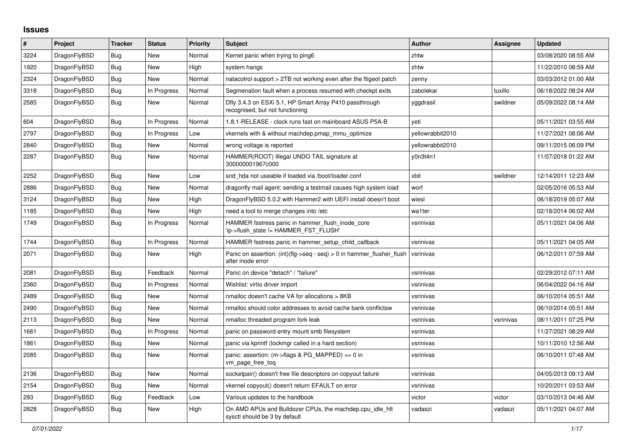## **Issues**

| $\#$ | <b>Project</b> | Tracker    | <b>Status</b> | Priority | <b>Subject</b>                                                                             | <b>Author</b>    | Assignee  | Updated             |
|------|----------------|------------|---------------|----------|--------------------------------------------------------------------------------------------|------------------|-----------|---------------------|
| 3224 | DragonFlyBSD   | <b>Bug</b> | New           | Normal   | Kernel panic when trying to ping6                                                          | zhtw             |           | 03/08/2020 08:55 AM |
| 1920 | DragonFlyBSD   | Bug        | New           | High     | system hangs                                                                               | zhtw             |           | 11/22/2010 08:59 AM |
| 2324 | DragonFlyBSD   | Bug        | New           | Normal   | natacotrol support > 2TB not working even after the ftigeot patch                          | zenny            |           | 03/03/2012 01:00 AM |
| 3318 | DragonFlyBSD   | Bug        | In Progress   | Normal   | Segmenation fault when a process resumed with checkpt exits                                | zabolekar        | tuxillo   | 06/18/2022 08:24 AM |
| 2585 | DragonFlyBSD   | Bug        | <b>New</b>    | Normal   | Dfly 3.4.3 on ESXi 5.1, HP Smart Array P410 passthrough<br>recognised, but not functioning | yggdrasil        | swildner  | 05/09/2022 08:14 AM |
| 604  | DragonFlyBSD   | Bug        | In Progress   | Normal   | 1.8.1-RELEASE - clock runs fast on mainboard ASUS P5A-B                                    | yeti             |           | 05/11/2021 03:55 AM |
| 2797 | DragonFlyBSD   | Bug        | In Progress   | Low      | vkernels with & without machdep.pmap mmu optimize                                          | yellowrabbit2010 |           | 11/27/2021 08:06 AM |
| 2840 | DragonFlyBSD   | Bug        | New           | Normal   | wrong voltage is reported                                                                  | yellowrabbit2010 |           | 09/11/2015 06:09 PM |
| 2287 | DragonFlyBSD   | Bug        | New           | Normal   | HAMMER(ROOT) Illegal UNDO TAIL signature at<br>300000001967c000                            | y0n3t4n1         |           | 11/07/2018 01:22 AM |
| 2252 | DragonFlyBSD   | Bug        | New           | Low      | snd hda not useable if loaded via /boot/loader.conf                                        | xbit             | swildner  | 12/14/2011 12:23 AM |
| 2886 | DragonFlyBSD   | Bug        | New           | Normal   | dragonfly mail agent: sending a testmail causes high system load                           | worf             |           | 02/05/2016 05:53 AM |
| 3124 | DragonFlyBSD   | <b>Bug</b> | New           | High     | DragonFlyBSD 5.0.2 with Hammer2 with UEFI install doesn't boot                             | wiesl            |           | 06/18/2019 05:07 AM |
| 1185 | DragonFlyBSD   | Bug        | <b>New</b>    | High     | need a tool to merge changes into /etc                                                     | wa1ter           |           | 02/18/2014 06:02 AM |
| 1749 | DragonFlyBSD   | Bug        | In Progress   | Normal   | HAMMER fsstress panic in hammer_flush_inode_core<br>'ip->flush_state != HAMMER_FST_FLUSH'  | vsrinivas        |           | 05/11/2021 04:06 AM |
| 1744 | DragonFlyBSD   | <b>Bug</b> | In Progress   | Normal   | HAMMER fsstress panic in hammer setup child callback                                       | vsrinivas        |           | 05/11/2021 04:05 AM |
| 2071 | DragonFlyBSD   | <b>Bug</b> | New           | High     | Panic on assertion: (int)(flg->seq - seq) > 0 in hammer flusher flush<br>after inode error | vsrinivas        |           | 06/12/2011 07:59 AM |
| 2081 | DragonFlyBSD   | <b>Bug</b> | Feedback      | Normal   | Panic on device "detach" / "failure"                                                       | vsrinivas        |           | 02/29/2012 07:11 AM |
| 2360 | DragonFlyBSD   | Bug        | In Progress   | Normal   | Wishlist: virtio driver import                                                             | vsrinivas        |           | 06/04/2022 04:16 AM |
| 2489 | DragonFlyBSD   | <b>Bug</b> | New           | Normal   | nmalloc doesn't cache VA for allocations > 8KB                                             | vsrinivas        |           | 06/10/2014 05:51 AM |
| 2490 | DragonFlyBSD   | Bug        | New           | Normal   | nmalloc should color addresses to avoid cache bank conflictsw                              | vsrinivas        |           | 06/10/2014 05:51 AM |
| 2113 | DragonFlyBSD   | Bug        | <b>New</b>    | Normal   | nmalloc threaded program fork leak                                                         | vsrinivas        | vsrinivas | 08/11/2011 07:25 PM |
| 1661 | DragonFlyBSD   | Bug        | In Progress   | Normal   | panic on password entry mount smb filesystem                                               | vsrinivas        |           | 11/27/2021 08:29 AM |
| 1861 | DragonFlyBSD   | Bug        | New           | Normal   | panic via kprintf (lockmgr called in a hard section)                                       | vsrinivas        |           | 10/11/2010 12:56 AM |
| 2085 | DragonFlyBSD   | <b>Bug</b> | New           | Normal   | panic: assertion: (m->flags & PG_MAPPED) == 0 in<br>vm_page_free_toq                       | vsrinivas        |           | 06/10/2011 07:48 AM |
| 2136 | DragonFlyBSD   | Bug        | New           | Normal   | socketpair() doesn't free file descriptors on copyout failure                              | vsrinivas        |           | 04/05/2013 09:13 AM |
| 2154 | DragonFlyBSD   | <b>Bug</b> | New           | Normal   | vkernel copyout() doesn't return EFAULT on error                                           | vsrinivas        |           | 10/20/2011 03:53 AM |
| 293  | DragonFlyBSD   | Bug        | Feedback      | Low      | Various updates to the handbook                                                            | victor           | victor    | 03/10/2013 04:46 AM |
| 2828 | DragonFlyBSD   | Bug        | <b>New</b>    | High     | On AMD APUs and Bulldozer CPUs, the machdep.cpu idle hit<br>sysctl should be 3 by default  | vadaszi          | vadaszi   | 05/11/2021 04:07 AM |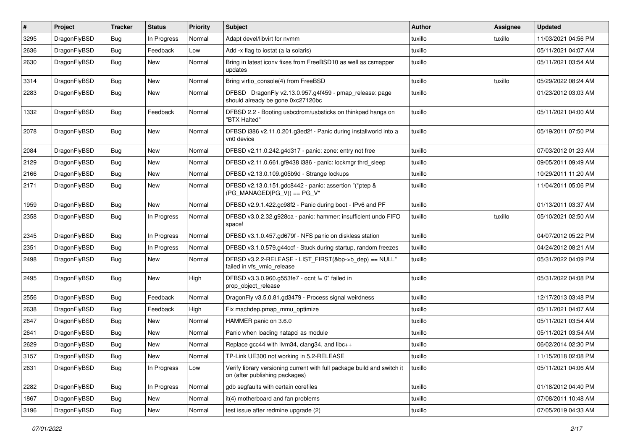| #    | Project      | <b>Tracker</b> | <b>Status</b> | <b>Priority</b> | Subject                                                                                                   | <b>Author</b> | <b>Assignee</b> | <b>Updated</b>      |
|------|--------------|----------------|---------------|-----------------|-----------------------------------------------------------------------------------------------------------|---------------|-----------------|---------------------|
| 3295 | DragonFlyBSD | Bug            | In Progress   | Normal          | Adapt devel/libvirt for nvmm                                                                              | tuxillo       | tuxillo         | 11/03/2021 04:56 PM |
| 2636 | DragonFlyBSD | Bug            | Feedback      | Low             | Add -x flag to iostat (a la solaris)                                                                      | tuxillo       |                 | 05/11/2021 04:07 AM |
| 2630 | DragonFlyBSD | Bug            | New           | Normal          | Bring in latest iconv fixes from FreeBSD10 as well as csmapper<br>updates                                 | tuxillo       |                 | 05/11/2021 03:54 AM |
| 3314 | DragonFlyBSD | Bug            | New           | Normal          | Bring virtio_console(4) from FreeBSD                                                                      | tuxillo       | tuxillo         | 05/29/2022 08:24 AM |
| 2283 | DragonFlyBSD | Bug            | New           | Normal          | DFBSD DragonFly v2.13.0.957.g4f459 - pmap_release: page<br>should already be gone 0xc27120bc              | tuxillo       |                 | 01/23/2012 03:03 AM |
| 1332 | DragonFlyBSD | Bug            | Feedback      | Normal          | DFBSD 2.2 - Booting usbcdrom/usbsticks on thinkpad hangs on<br>"BTX Halted"                               | tuxillo       |                 | 05/11/2021 04:00 AM |
| 2078 | DragonFlyBSD | Bug            | New           | Normal          | DFBSD i386 v2.11.0.201.g3ed2f - Panic during installworld into a<br>vn0 device                            | tuxillo       |                 | 05/19/2011 07:50 PM |
| 2084 | DragonFlyBSD | Bug            | New           | Normal          | DFBSD v2.11.0.242.g4d317 - panic: zone: entry not free                                                    | tuxillo       |                 | 07/03/2012 01:23 AM |
| 2129 | DragonFlyBSD | Bug            | New           | Normal          | DFBSD v2.11.0.661.gf9438 i386 - panic: lockmgr thrd_sleep                                                 | tuxillo       |                 | 09/05/2011 09:49 AM |
| 2166 | DragonFlyBSD | Bug            | New           | Normal          | DFBSD v2.13.0.109.g05b9d - Strange lockups                                                                | tuxillo       |                 | 10/29/2011 11:20 AM |
| 2171 | DragonFlyBSD | <b>Bug</b>     | <b>New</b>    | Normal          | DFBSD v2.13.0.151.gdc8442 - panic: assertion "(*ptep &<br>$(PG_MANAGED PG_V)) == PG_V"$                   | tuxillo       |                 | 11/04/2011 05:06 PM |
| 1959 | DragonFlyBSD | Bug            | <b>New</b>    | Normal          | DFBSD v2.9.1.422.gc98f2 - Panic during boot - IPv6 and PF                                                 | tuxillo       |                 | 01/13/2011 03:37 AM |
| 2358 | DragonFlyBSD | Bug            | In Progress   | Normal          | DFBSD v3.0.2.32.g928ca - panic: hammer: insufficient undo FIFO<br>space!                                  | tuxillo       | tuxillo         | 05/10/2021 02:50 AM |
| 2345 | DragonFlyBSD | Bug            | In Progress   | Normal          | DFBSD v3.1.0.457.gd679f - NFS panic on diskless station                                                   | tuxillo       |                 | 04/07/2012 05:22 PM |
| 2351 | DragonFlyBSD | Bug            | In Progress   | Normal          | DFBSD v3.1.0.579.g44ccf - Stuck during startup, random freezes                                            | tuxillo       |                 | 04/24/2012 08:21 AM |
| 2498 | DragonFlyBSD | <b>Bug</b>     | New           | Normal          | DFBSD v3.2.2-RELEASE - LIST_FIRST(&bp->b_dep) == NULL"<br>failed in vfs_vmio_release                      | tuxillo       |                 | 05/31/2022 04:09 PM |
| 2495 | DragonFlyBSD | Bug            | New           | High            | DFBSD v3.3.0.960.g553fe7 - ocnt != 0" failed in<br>prop object release                                    | tuxillo       |                 | 05/31/2022 04:08 PM |
| 2556 | DragonFlyBSD | Bug            | Feedback      | Normal          | DragonFly v3.5.0.81.gd3479 - Process signal weirdness                                                     | tuxillo       |                 | 12/17/2013 03:48 PM |
| 2638 | DragonFlyBSD | <b>Bug</b>     | Feedback      | High            | Fix machdep.pmap mmu optimize                                                                             | tuxillo       |                 | 05/11/2021 04:07 AM |
| 2647 | DragonFlyBSD | <b>Bug</b>     | New           | Normal          | HAMMER panic on 3.6.0                                                                                     | tuxillo       |                 | 05/11/2021 03:54 AM |
| 2641 | DragonFlyBSD | <b>Bug</b>     | New           | Normal          | Panic when loading natapci as module                                                                      | tuxillo       |                 | 05/11/2021 03:54 AM |
| 2629 | DragonFlyBSD | <b>Bug</b>     | New           | Normal          | Replace gcc44 with llvm34, clang34, and libc++                                                            | tuxillo       |                 | 06/02/2014 02:30 PM |
| 3157 | DragonFlyBSD | <b>Bug</b>     | New           | Normal          | TP-Link UE300 not working in 5.2-RELEASE                                                                  | tuxillo       |                 | 11/15/2018 02:08 PM |
| 2631 | DragonFlyBSD | Bug            | In Progress   | Low             | Verify library versioning current with full package build and switch it<br>on (after publishing packages) | tuxillo       |                 | 05/11/2021 04:06 AM |
| 2282 | DragonFlyBSD | <b>Bug</b>     | In Progress   | Normal          | gdb segfaults with certain corefiles                                                                      | tuxillo       |                 | 01/18/2012 04:40 PM |
| 1867 | DragonFlyBSD | <b>Bug</b>     | <b>New</b>    | Normal          | it(4) motherboard and fan problems                                                                        | tuxillo       |                 | 07/08/2011 10:48 AM |
| 3196 | DragonFlyBSD | <b>Bug</b>     | New           | Normal          | test issue after redmine upgrade (2)                                                                      | tuxillo       |                 | 07/05/2019 04:33 AM |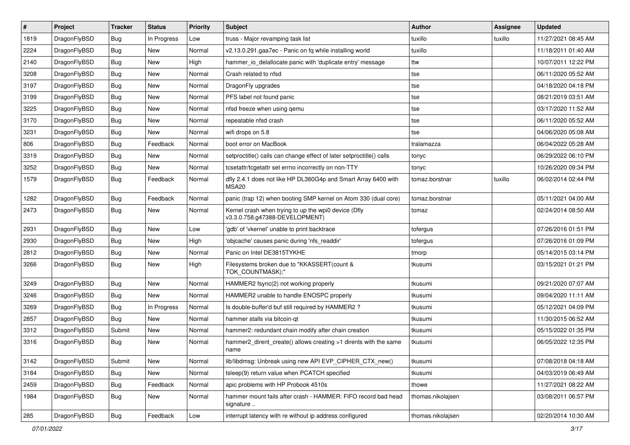| #    | Project      | <b>Tracker</b> | <b>Status</b> | <b>Priority</b> | Subject                                                                                | <b>Author</b>     | <b>Assignee</b> | <b>Updated</b>      |
|------|--------------|----------------|---------------|-----------------|----------------------------------------------------------------------------------------|-------------------|-----------------|---------------------|
| 1819 | DragonFlyBSD | Bug            | In Progress   | Low             | truss - Major revamping task list                                                      | tuxillo           | tuxillo         | 11/27/2021 08:45 AM |
| 2224 | DragonFlyBSD | <b>Bug</b>     | <b>New</b>    | Normal          | v2.13.0.291.gaa7ec - Panic on fq while installing world                                | tuxillo           |                 | 11/18/2011 01:40 AM |
| 2140 | DragonFlyBSD | <b>Bug</b>     | New           | High            | hammer io delallocate panic with 'duplicate entry' message                             | ttw               |                 | 10/07/2011 12:22 PM |
| 3208 | DragonFlyBSD | <b>Bug</b>     | New           | Normal          | Crash related to nfsd                                                                  | tse               |                 | 06/11/2020 05:52 AM |
| 3197 | DragonFlyBSD | <b>Bug</b>     | <b>New</b>    | Normal          | DragonFly upgrades                                                                     | tse               |                 | 04/18/2020 04:18 PM |
| 3199 | DragonFlyBSD | <b>Bug</b>     | New           | Normal          | PFS label not found panic                                                              | tse               |                 | 08/21/2019 03:51 AM |
| 3225 | DragonFlyBSD | <b>Bug</b>     | <b>New</b>    | Normal          | nfsd freeze when using qemu                                                            | tse               |                 | 03/17/2020 11:52 AM |
| 3170 | DragonFlyBSD | <b>Bug</b>     | <b>New</b>    | Normal          | repeatable nfsd crash                                                                  | tse               |                 | 06/11/2020 05:52 AM |
| 3231 | DragonFlyBSD | <b>Bug</b>     | New           | Normal          | wifi drops on 5.8                                                                      | tse               |                 | 04/06/2020 05:08 AM |
| 806  | DragonFlyBSD | <b>Bug</b>     | Feedback      | Normal          | boot error on MacBook                                                                  | tralamazza        |                 | 06/04/2022 05:28 AM |
| 3319 | DragonFlyBSD | <b>Bug</b>     | New           | Normal          | setproctitle() calls can change effect of later setproctitle() calls                   | tonyc             |                 | 06/29/2022 06:10 PM |
| 3252 | DragonFlyBSD | <b>Bug</b>     | New           | Normal          | tcsetattr/tcgetattr set errno incorrectly on non-TTY                                   | tonyc             |                 | 10/26/2020 09:34 PM |
| 1579 | DragonFlyBSD | <b>Bug</b>     | Feedback      | Normal          | dfly 2.4.1 does not like HP DL360G4p and Smart Array 6400 with<br>MSA20                | tomaz.borstnar    | tuxillo         | 06/02/2014 02:44 PM |
| 1282 | DragonFlyBSD | <b>Bug</b>     | Feedback      | Normal          | panic (trap 12) when booting SMP kernel on Atom 330 (dual core)                        | tomaz.borstnar    |                 | 05/11/2021 04:00 AM |
| 2473 | DragonFlyBSD | Bug            | <b>New</b>    | Normal          | Kernel crash when trying to up the wpi0 device (Dfly<br>v3.3.0.758.g47388-DEVELOPMENT) | tomaz             |                 | 02/24/2014 08:50 AM |
| 2931 | DragonFlyBSD | <b>Bug</b>     | New           | Low             | 'gdb' of 'vkernel' unable to print backtrace                                           | tofergus          |                 | 07/26/2016 01:51 PM |
| 2930 | DragonFlyBSD | <b>Bug</b>     | New           | High            | 'objcache' causes panic during 'nfs_readdir'                                           | tofergus          |                 | 07/26/2016 01:09 PM |
| 2812 | DragonFlyBSD | <b>Bug</b>     | New           | Normal          | Panic on Intel DE3815TYKHE                                                             | tmorp             |                 | 05/14/2015 03:14 PM |
| 3266 | DragonFlyBSD | <b>Bug</b>     | <b>New</b>    | High            | Filesystems broken due to "KKASSERT(count &<br>TOK_COUNTMASK);"                        | tkusumi           |                 | 03/15/2021 01:21 PM |
| 3249 | DragonFlyBSD | <b>Bug</b>     | <b>New</b>    | Normal          | HAMMER2 fsync(2) not working properly                                                  | tkusumi           |                 | 09/21/2020 07:07 AM |
| 3246 | DragonFlyBSD | <b>Bug</b>     | New           | Normal          | HAMMER2 unable to handle ENOSPC properly                                               | tkusumi           |                 | 09/04/2020 11:11 AM |
| 3269 | DragonFlyBSD | <b>Bug</b>     | In Progress   | Normal          | Is double-buffer'd buf still required by HAMMER2?                                      | tkusumi           |                 | 05/12/2021 04:09 PM |
| 2857 | DragonFlyBSD | <b>Bug</b>     | New           | Normal          | hammer stalls via bitcoin-qt                                                           | tkusumi           |                 | 11/30/2015 06:52 AM |
| 3312 | DragonFlyBSD | Submit         | New           | Normal          | hammer2: redundant chain modify after chain creation                                   | tkusumi           |                 | 05/15/2022 01:35 PM |
| 3316 | DragonFlyBSD | Bug            | New           | Normal          | hammer2_dirent_create() allows creating >1 dirents with the same<br>name               | tkusumi           |                 | 06/05/2022 12:35 PM |
| 3142 | DragonFlyBSD | Submit         | New           | Normal          | lib/libdmsg: Unbreak using new API EVP_CIPHER_CTX_new()                                | tkusumi           |                 | 07/08/2018 04:18 AM |
| 3184 | DragonFlyBSD | Bug            | New           | Normal          | tsleep(9) return value when PCATCH specified                                           | tkusumi           |                 | 04/03/2019 06:49 AM |
| 2459 | DragonFlyBSD | <b>Bug</b>     | Feedback      | Normal          | apic problems with HP Probook 4510s                                                    | thowe             |                 | 11/27/2021 08:22 AM |
| 1984 | DragonFlyBSD | <b>Bug</b>     | New           | Normal          | hammer mount fails after crash - HAMMER: FIFO record bad head<br>signature             | thomas.nikolajsen |                 | 03/08/2011 06:57 PM |
| 285  | DragonFlyBSD | Bug            | Feedback      | Low             | interrupt latency with re without ip address configured                                | thomas.nikolajsen |                 | 02/20/2014 10:30 AM |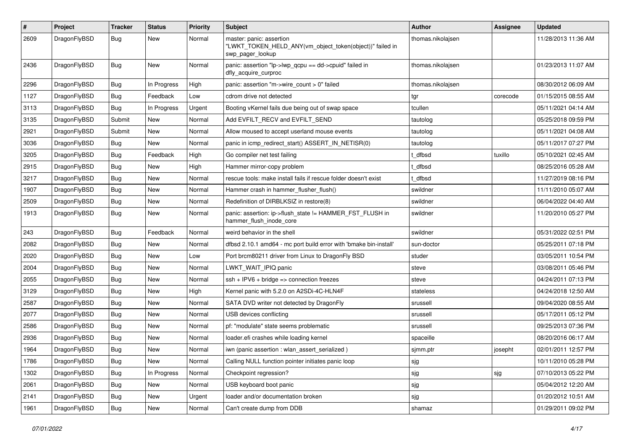| #    | Project      | <b>Tracker</b> | <b>Status</b> | <b>Priority</b> | Subject                                                                                                  | <b>Author</b>     | <b>Assignee</b> | <b>Updated</b>      |
|------|--------------|----------------|---------------|-----------------|----------------------------------------------------------------------------------------------------------|-------------------|-----------------|---------------------|
| 2609 | DragonFlyBSD | Bug            | New           | Normal          | master: panic: assertion<br>"LWKT_TOKEN_HELD_ANY(vm_object_token(object))" failed in<br>swp pager lookup | thomas.nikolajsen |                 | 11/28/2013 11:36 AM |
| 2436 | DragonFlyBSD | Bug            | New           | Normal          | panic: assertion "lp->lwp_qcpu == dd->cpuid" failed in<br>dfly_acquire_curproc                           | thomas.nikolajsen |                 | 01/23/2013 11:07 AM |
| 2296 | DragonFlyBSD | Bug            | In Progress   | High            | panic: assertion "m->wire count > 0" failed                                                              | thomas.nikolajsen |                 | 08/30/2012 06:09 AM |
| 1127 | DragonFlyBSD | <b>Bug</b>     | Feedback      | Low             | cdrom drive not detected                                                                                 | tgr               | corecode        | 01/15/2015 08:55 AM |
| 3113 | DragonFlyBSD | <b>Bug</b>     | In Progress   | Urgent          | Booting vKernel fails due being out of swap space                                                        | tcullen           |                 | 05/11/2021 04:14 AM |
| 3135 | DragonFlyBSD | Submit         | New           | Normal          | Add EVFILT_RECV and EVFILT_SEND                                                                          | tautolog          |                 | 05/25/2018 09:59 PM |
| 2921 | DragonFlyBSD | Submit         | <b>New</b>    | Normal          | Allow moused to accept userland mouse events                                                             | tautolog          |                 | 05/11/2021 04:08 AM |
| 3036 | DragonFlyBSD | <b>Bug</b>     | New           | Normal          | panic in icmp redirect start() ASSERT IN NETISR(0)                                                       | tautolog          |                 | 05/11/2017 07:27 PM |
| 3205 | DragonFlyBSD | <b>Bug</b>     | Feedback      | High            | Go compiler net test failing                                                                             | t dfbsd           | tuxillo         | 05/10/2021 02:45 AM |
| 2915 | DragonFlyBSD | <b>Bug</b>     | <b>New</b>    | High            | Hammer mirror-copy problem                                                                               | : dfbsd           |                 | 08/25/2016 05:28 AM |
| 3217 | DragonFlyBSD | <b>Bug</b>     | New           | Normal          | rescue tools: make install fails if rescue folder doesn't exist                                          | t_dfbsd           |                 | 11/27/2019 08:16 PM |
| 1907 | DragonFlyBSD | <b>Bug</b>     | <b>New</b>    | Normal          | Hammer crash in hammer_flusher_flush()                                                                   | swildner          |                 | 11/11/2010 05:07 AM |
| 2509 | DragonFlyBSD | <b>Bug</b>     | <b>New</b>    | Normal          | Redefinition of DIRBLKSIZ in restore(8)                                                                  | swildner          |                 | 06/04/2022 04:40 AM |
| 1913 | DragonFlyBSD | <b>Bug</b>     | New           | Normal          | panic: assertion: ip->flush_state != HAMMER_FST_FLUSH in<br>hammer_flush_inode_core                      | swildner          |                 | 11/20/2010 05:27 PM |
| 243  | DragonFlyBSD | Bug            | Feedback      | Normal          | weird behavior in the shell                                                                              | swildner          |                 | 05/31/2022 02:51 PM |
| 2082 | DragonFlyBSD | <b>Bug</b>     | New           | Normal          | dfbsd 2.10.1 amd64 - mc port build error with 'bmake bin-install'                                        | sun-doctor        |                 | 05/25/2011 07:18 PM |
| 2020 | DragonFlyBSD | <b>Bug</b>     | New           | Low             | Port brcm80211 driver from Linux to DragonFly BSD                                                        | studer            |                 | 03/05/2011 10:54 PM |
| 2004 | DragonFlyBSD | <b>Bug</b>     | New           | Normal          | LWKT_WAIT_IPIQ panic                                                                                     | steve             |                 | 03/08/2011 05:46 PM |
| 2055 | DragonFlyBSD | <b>Bug</b>     | <b>New</b>    | Normal          | ssh + IPV6 + bridge => connection freezes                                                                | steve             |                 | 04/24/2011 07:13 PM |
| 3129 | DragonFlyBSD | <b>Bug</b>     | <b>New</b>    | High            | Kernel panic with 5.2.0 on A2SDi-4C-HLN4F                                                                | stateless         |                 | 04/24/2018 12:50 AM |
| 2587 | DragonFlyBSD | <b>Bug</b>     | New           | Normal          | SATA DVD writer not detected by DragonFly                                                                | srussell          |                 | 09/04/2020 08:55 AM |
| 2077 | DragonFlyBSD | <b>Bug</b>     | <b>New</b>    | Normal          | USB devices conflicting                                                                                  | srussell          |                 | 05/17/2011 05:12 PM |
| 2586 | DragonFlyBSD | <b>Bug</b>     | New           | Normal          | pf: "modulate" state seems problematic                                                                   | srussell          |                 | 09/25/2013 07:36 PM |
| 2936 | DragonFlyBSD | <b>Bug</b>     | <b>New</b>    | Normal          | loader.efi crashes while loading kernel                                                                  | spaceille         |                 | 08/20/2016 06:17 AM |
| 1964 | DragonFlyBSD | <b>Bug</b>     | <b>New</b>    | Normal          | iwn (panic assertion : wlan assert serialized)                                                           | sjmm.ptr          | josepht         | 02/01/2011 12:57 PM |
| 1786 | DragonFlyBSD | Bug            | New           | Normal          | Calling NULL function pointer initiates panic loop                                                       | sjg               |                 | 10/11/2010 05:28 PM |
| 1302 | DragonFlyBSD | <b>Bug</b>     | In Progress   | Normal          | Checkpoint regression?                                                                                   | sjg               | sjg             | 07/10/2013 05:22 PM |
| 2061 | DragonFlyBSD | <b>Bug</b>     | New           | Normal          | USB keyboard boot panic                                                                                  | sjg               |                 | 05/04/2012 12:20 AM |
| 2141 | DragonFlyBSD | <b>Bug</b>     | New           | Urgent          | loader and/or documentation broken                                                                       | sjg               |                 | 01/20/2012 10:51 AM |
| 1961 | DragonFlyBSD | <b>Bug</b>     | New           | Normal          | Can't create dump from DDB                                                                               | shamaz            |                 | 01/29/2011 09:02 PM |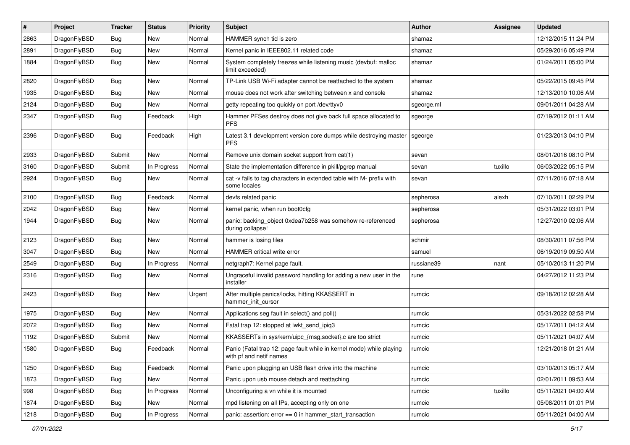| $\sharp$ | Project      | <b>Tracker</b> | <b>Status</b> | <b>Priority</b> | Subject                                                                                         | <b>Author</b> | Assignee | <b>Updated</b>      |
|----------|--------------|----------------|---------------|-----------------|-------------------------------------------------------------------------------------------------|---------------|----------|---------------------|
| 2863     | DragonFlyBSD | <b>Bug</b>     | New           | Normal          | HAMMER synch tid is zero                                                                        | shamaz        |          | 12/12/2015 11:24 PM |
| 2891     | DragonFlyBSD | Bug            | New           | Normal          | Kernel panic in IEEE802.11 related code                                                         | shamaz        |          | 05/29/2016 05:49 PM |
| 1884     | DragonFlyBSD | <b>Bug</b>     | New           | Normal          | System completely freezes while listening music (devbuf: malloc<br>limit exceeded)              | shamaz        |          | 01/24/2011 05:00 PM |
| 2820     | DragonFlyBSD | Bug            | <b>New</b>    | Normal          | TP-Link USB Wi-Fi adapter cannot be reattached to the system                                    | shamaz        |          | 05/22/2015 09:45 PM |
| 1935     | DragonFlyBSD | <b>Bug</b>     | New           | Normal          | mouse does not work after switching between x and console                                       | shamaz        |          | 12/13/2010 10:06 AM |
| 2124     | DragonFlyBSD | Bug            | New           | Normal          | getty repeating too quickly on port /dev/ttyv0                                                  | sgeorge.ml    |          | 09/01/2011 04:28 AM |
| 2347     | DragonFlyBSD | Bug            | Feedback      | High            | Hammer PFSes destroy does not give back full space allocated to<br><b>PFS</b>                   | sgeorge       |          | 07/19/2012 01:11 AM |
| 2396     | DragonFlyBSD | Bug            | Feedback      | High            | Latest 3.1 development version core dumps while destroying master<br><b>PFS</b>                 | sgeorge       |          | 01/23/2013 04:10 PM |
| 2933     | DragonFlyBSD | Submit         | New           | Normal          | Remove unix domain socket support from cat(1)                                                   | sevan         |          | 08/01/2016 08:10 PM |
| 3160     | DragonFlyBSD | Submit         | In Progress   | Normal          | State the implementation difference in pkill/pgrep manual                                       | sevan         | tuxillo  | 06/03/2022 05:15 PM |
| 2924     | DragonFlyBSD | <b>Bug</b>     | New           | Normal          | cat -v fails to tag characters in extended table with M- prefix with<br>some locales            | sevan         |          | 07/11/2016 07:18 AM |
| 2100     | DragonFlyBSD | Bug            | Feedback      | Normal          | devfs related panic                                                                             | sepherosa     | alexh    | 07/10/2011 02:29 PM |
| 2042     | DragonFlyBSD | <b>Bug</b>     | New           | Normal          | kernel panic, when run boot0cfg                                                                 | sepherosa     |          | 05/31/2022 03:01 PM |
| 1944     | DragonFlyBSD | <b>Bug</b>     | New           | Normal          | panic: backing object 0xdea7b258 was somehow re-referenced<br>during collapse!                  | sepherosa     |          | 12/27/2010 02:06 AM |
| 2123     | DragonFlyBSD | Bug            | <b>New</b>    | Normal          | hammer is losing files                                                                          | schmir        |          | 08/30/2011 07:56 PM |
| 3047     | DragonFlyBSD | Bug            | New           | Normal          | <b>HAMMER</b> critical write error                                                              | samuel        |          | 06/19/2019 09:50 AM |
| 2549     | DragonFlyBSD | <b>Bug</b>     | In Progress   | Normal          | netgraph7: Kernel page fault.                                                                   | russiane39    | nant     | 05/10/2013 11:20 PM |
| 2316     | DragonFlyBSD | <b>Bug</b>     | New           | Normal          | Ungraceful invalid password handling for adding a new user in the<br>installer                  | rune          |          | 04/27/2012 11:23 PM |
| 2423     | DragonFlyBSD | Bug            | New           | Urgent          | After multiple panics/locks, hitting KKASSERT in<br>hammer init cursor                          | rumcic        |          | 09/18/2012 02:28 AM |
| 1975     | DragonFlyBSD | <b>Bug</b>     | New           | Normal          | Applications seg fault in select() and poll()                                                   | rumcic        |          | 05/31/2022 02:58 PM |
| 2072     | DragonFlyBSD | <b>Bug</b>     | New           | Normal          | Fatal trap 12: stopped at lwkt_send_ipiq3                                                       | rumcic        |          | 05/17/2011 04:12 AM |
| 1192     | DragonFlyBSD | Submit         | New           | Normal          | KKASSERTs in sys/kern/uipc_{msg,socket}.c are too strict                                        | rumcic        |          | 05/11/2021 04:07 AM |
| 1580     | DragonFlyBSD | Bug            | Feedback      | Normal          | Panic (Fatal trap 12: page fault while in kernel mode) while playing<br>with pf and netif names | rumcic        |          | 12/21/2018 01:21 AM |
| 1250     | DragonFlyBSD | <b>Bug</b>     | Feedback      | Normal          | Panic upon plugging an USB flash drive into the machine                                         | rumcic        |          | 03/10/2013 05:17 AM |
| 1873     | DragonFlyBSD | <b>Bug</b>     | New           | Normal          | Panic upon usb mouse detach and reattaching                                                     | rumcic        |          | 02/01/2011 09:53 AM |
| 998      | DragonFlyBSD | Bug            | In Progress   | Normal          | Unconfiguring a vn while it is mounted                                                          | rumcic        | tuxillo  | 05/11/2021 04:00 AM |
| 1874     | DragonFlyBSD | <b>Bug</b>     | New           | Normal          | mpd listening on all IPs, accepting only on one                                                 | rumcic        |          | 05/08/2011 01:01 PM |
| 1218     | DragonFlyBSD | <b>Bug</b>     | In Progress   | Normal          | panic: assertion: error == 0 in hammer_start_transaction                                        | rumcic        |          | 05/11/2021 04:00 AM |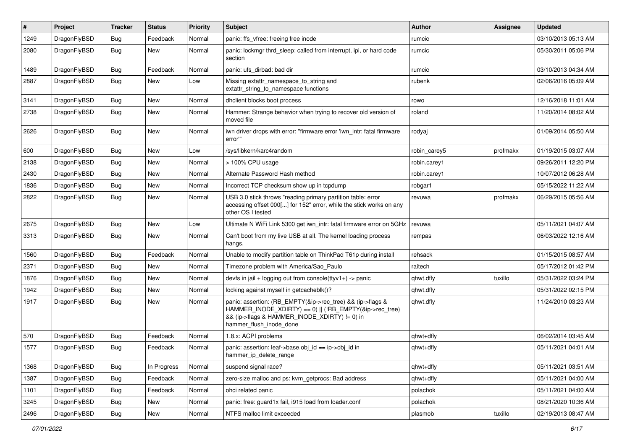| $\pmb{\#}$ | Project      | <b>Tracker</b> | <b>Status</b> | <b>Priority</b> | Subject                                                                                                                                                                                           | <b>Author</b> | Assignee | <b>Updated</b>      |
|------------|--------------|----------------|---------------|-----------------|---------------------------------------------------------------------------------------------------------------------------------------------------------------------------------------------------|---------------|----------|---------------------|
| 1249       | DragonFlyBSD | Bug            | Feedback      | Normal          | panic: ffs vfree: freeing free inode                                                                                                                                                              | rumcic        |          | 03/10/2013 05:13 AM |
| 2080       | DragonFlyBSD | Bug            | New           | Normal          | panic: lockmgr thrd_sleep: called from interrupt, ipi, or hard code<br>section                                                                                                                    | rumcic        |          | 05/30/2011 05:06 PM |
| 1489       | DragonFlyBSD | Bug            | Feedback      | Normal          | panic: ufs dirbad: bad dir                                                                                                                                                                        | rumcic        |          | 03/10/2013 04:34 AM |
| 2887       | DragonFlyBSD | Bug            | New           | Low             | Missing extattr_namespace_to_string and<br>extattr string to namespace functions                                                                                                                  | rubenk        |          | 02/06/2016 05:09 AM |
| 3141       | DragonFlyBSD | Bug            | <b>New</b>    | Normal          | dhclient blocks boot process                                                                                                                                                                      | rowo          |          | 12/16/2018 11:01 AM |
| 2738       | DragonFlyBSD | Bug            | New           | Normal          | Hammer: Strange behavior when trying to recover old version of<br>moved file                                                                                                                      | roland        |          | 11/20/2014 08:02 AM |
| 2626       | DragonFlyBSD | Bug            | New           | Normal          | iwn driver drops with error: "firmware error 'iwn_intr: fatal firmware<br>error"                                                                                                                  | rodyaj        |          | 01/09/2014 05:50 AM |
| 600        | DragonFlyBSD | Bug            | <b>New</b>    | Low             | /sys/libkern/karc4random                                                                                                                                                                          | robin carey5  | profmakx | 01/19/2015 03:07 AM |
| 2138       | DragonFlyBSD | Bug            | <b>New</b>    | Normal          | > 100% CPU usage                                                                                                                                                                                  | robin.carey1  |          | 09/26/2011 12:20 PM |
| 2430       | DragonFlyBSD | Bug            | New           | Normal          | Alternate Password Hash method                                                                                                                                                                    | robin.carey1  |          | 10/07/2012 06:28 AM |
| 1836       | DragonFlyBSD | Bug            | <b>New</b>    | Normal          | Incorrect TCP checksum show up in tcpdump                                                                                                                                                         | robgar1       |          | 05/15/2022 11:22 AM |
| 2822       | DragonFlyBSD | Bug            | New           | Normal          | USB 3.0 stick throws "reading primary partition table: error<br>accessing offset 000[] for 152" error, while the stick works on any<br>other OS I tested                                          | revuwa        | profmakx | 06/29/2015 05:56 AM |
| 2675       | DragonFlyBSD | <b>Bug</b>     | <b>New</b>    | Low             | Ultimate N WiFi Link 5300 get iwn_intr: fatal firmware error on 5GHz                                                                                                                              | revuwa        |          | 05/11/2021 04:07 AM |
| 3313       | DragonFlyBSD | Bug            | New           | Normal          | Can't boot from my live USB at all. The kernel loading process<br>hangs.                                                                                                                          | rempas        |          | 06/03/2022 12:16 AM |
| 1560       | DragonFlyBSD | Bug            | Feedback      | Normal          | Unable to modify partition table on ThinkPad T61p during install                                                                                                                                  | rehsack       |          | 01/15/2015 08:57 AM |
| 2371       | DragonFlyBSD | Bug            | <b>New</b>    | Normal          | Timezone problem with America/Sao Paulo                                                                                                                                                           | raitech       |          | 05/17/2012 01:42 PM |
| 1876       | DragonFlyBSD | Bug            | New           | Normal          | devfs in jail + logging out from console(ttyv1+) -> panic                                                                                                                                         | qhwt.dfly     | tuxillo  | 05/31/2022 03:24 PM |
| 1942       | DragonFlyBSD | Bug            | New           | Normal          | locking against myself in getcacheblk()?                                                                                                                                                          | qhwt.dfly     |          | 05/31/2022 02:15 PM |
| 1917       | DragonFlyBSD | Bug            | New           | Normal          | panic: assertion: (RB_EMPTY(&ip->rec_tree) && (ip->flags &<br>HAMMER_INODE_XDIRTY) == 0)    (!RB_EMPTY(&ip->rec_tree)<br>&& (ip->flags & HAMMER_INODE_XDIRTY) != 0) in<br>hammer_flush_inode_done | qhwt.dfly     |          | 11/24/2010 03:23 AM |
| 570        | DragonFlyBSD | <b>Bug</b>     | Feedback      | Normal          | 1.8.x: ACPI problems                                                                                                                                                                              | qhwt+dfly     |          | 06/02/2014 03:45 AM |
| 1577       | DragonFlyBSD | Bug            | Feedback      | Normal          | panic: assertion: leaf->base.obj_id == ip->obj_id in<br>hammer_ip_delete_range                                                                                                                    | qhwt+dfly     |          | 05/11/2021 04:01 AM |
| 1368       | DragonFlyBSD | Bug            | In Progress   | Normal          | suspend signal race?                                                                                                                                                                              | qhwt+dfly     |          | 05/11/2021 03:51 AM |
| 1387       | DragonFlyBSD | <b>Bug</b>     | Feedback      | Normal          | zero-size malloc and ps: kvm_getprocs: Bad address                                                                                                                                                | qhwt+dfly     |          | 05/11/2021 04:00 AM |
| 1101       | DragonFlyBSD | <b>Bug</b>     | Feedback      | Normal          | ohci related panic                                                                                                                                                                                | polachok      |          | 05/11/2021 04:00 AM |
| 3245       | DragonFlyBSD | <b>Bug</b>     | New           | Normal          | panic: free: guard1x fail, i915 load from loader.conf                                                                                                                                             | polachok      |          | 08/21/2020 10:36 AM |
| 2496       | DragonFlyBSD | <b>Bug</b>     | New           | Normal          | NTFS malloc limit exceeded                                                                                                                                                                        | plasmob       | tuxillo  | 02/19/2013 08:47 AM |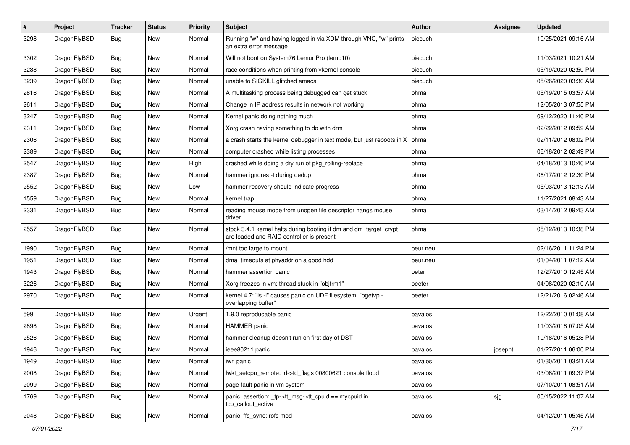| $\sharp$ | Project      | <b>Tracker</b> | <b>Status</b> | <b>Priority</b> | Subject                                                                                                        | Author   | Assignee | <b>Updated</b>      |
|----------|--------------|----------------|---------------|-----------------|----------------------------------------------------------------------------------------------------------------|----------|----------|---------------------|
| 3298     | DragonFlyBSD | Bug            | New           | Normal          | Running "w" and having logged in via XDM through VNC, "w" prints<br>an extra error message                     | piecuch  |          | 10/25/2021 09:16 AM |
| 3302     | DragonFlyBSD | Bug            | <b>New</b>    | Normal          | Will not boot on System76 Lemur Pro (lemp10)                                                                   | piecuch  |          | 11/03/2021 10:21 AM |
| 3238     | DragonFlyBSD | <b>Bug</b>     | New           | Normal          | race conditions when printing from vkernel console                                                             | piecuch  |          | 05/19/2020 02:50 PM |
| 3239     | DragonFlyBSD | Bug            | <b>New</b>    | Normal          | unable to SIGKILL glitched emacs                                                                               | piecuch  |          | 05/26/2020 03:30 AM |
| 2816     | DragonFlyBSD | <b>Bug</b>     | <b>New</b>    | Normal          | A multitasking process being debugged can get stuck                                                            | phma     |          | 05/19/2015 03:57 AM |
| 2611     | DragonFlyBSD | <b>Bug</b>     | <b>New</b>    | Normal          | Change in IP address results in network not working                                                            | phma     |          | 12/05/2013 07:55 PM |
| 3247     | DragonFlyBSD | <b>Bug</b>     | <b>New</b>    | Normal          | Kernel panic doing nothing much                                                                                | phma     |          | 09/12/2020 11:40 PM |
| 2311     | DragonFlyBSD | <b>Bug</b>     | New           | Normal          | Xorg crash having something to do with drm                                                                     | phma     |          | 02/22/2012 09:59 AM |
| 2306     | DragonFlyBSD | Bug            | <b>New</b>    | Normal          | a crash starts the kernel debugger in text mode, but just reboots in X                                         | phma     |          | 02/11/2012 08:02 PM |
| 2389     | DragonFlyBSD | <b>Bug</b>     | New           | Normal          | computer crashed while listing processes                                                                       | phma     |          | 06/18/2012 02:49 PM |
| 2547     | DragonFlyBSD | <b>Bug</b>     | <b>New</b>    | High            | crashed while doing a dry run of pkg_rolling-replace                                                           | phma     |          | 04/18/2013 10:40 PM |
| 2387     | DragonFlyBSD | <b>Bug</b>     | New           | Normal          | hammer ignores -t during dedup                                                                                 | phma     |          | 06/17/2012 12:30 PM |
| 2552     | DragonFlyBSD | <b>Bug</b>     | New           | Low             | hammer recovery should indicate progress                                                                       | phma     |          | 05/03/2013 12:13 AM |
| 1559     | DragonFlyBSD | <b>Bug</b>     | New           | Normal          | kernel trap                                                                                                    | phma     |          | 11/27/2021 08:43 AM |
| 2331     | DragonFlyBSD | <b>Bug</b>     | New           | Normal          | reading mouse mode from unopen file descriptor hangs mouse<br>driver                                           | phma     |          | 03/14/2012 09:43 AM |
| 2557     | DragonFlyBSD | <b>Bug</b>     | <b>New</b>    | Normal          | stock 3.4.1 kernel halts during booting if dm and dm_target_crypt<br>are loaded and RAID controller is present | phma     |          | 05/12/2013 10:38 PM |
| 1990     | DragonFlyBSD | Bug            | New           | Normal          | /mnt too large to mount                                                                                        | peur.neu |          | 02/16/2011 11:24 PM |
| 1951     | DragonFlyBSD | <b>Bug</b>     | New           | Normal          | dma timeouts at phyaddr on a good hdd                                                                          | peur.neu |          | 01/04/2011 07:12 AM |
| 1943     | DragonFlyBSD | <b>Bug</b>     | <b>New</b>    | Normal          | hammer assertion panic                                                                                         | peter    |          | 12/27/2010 12:45 AM |
| 3226     | DragonFlyBSD | <b>Bug</b>     | <b>New</b>    | Normal          | Xorg freezes in vm: thread stuck in "objtrm1"                                                                  | peeter   |          | 04/08/2020 02:10 AM |
| 2970     | DragonFlyBSD | <b>Bug</b>     | <b>New</b>    | Normal          | kernel 4.7: "Is -I" causes panic on UDF filesystem: "bgetvp -<br>overlapping buffer"                           | peeter   |          | 12/21/2016 02:46 AM |
| 599      | DragonFlyBSD | Bug            | <b>New</b>    | Urgent          | 1.9.0 reproducable panic                                                                                       | pavalos  |          | 12/22/2010 01:08 AM |
| 2898     | DragonFlyBSD | <b>Bug</b>     | New           | Normal          | <b>HAMMER</b> panic                                                                                            | pavalos  |          | 11/03/2018 07:05 AM |
| 2526     | DragonFlyBSD | <b>Bug</b>     | <b>New</b>    | Normal          | hammer cleanup doesn't run on first day of DST                                                                 | pavalos  |          | 10/18/2016 05:28 PM |
| 1946     | DragonFlyBSD | <b>Bug</b>     | New           | Normal          | ieee80211 panic                                                                                                | pavalos  | josepht  | 01/27/2011 06:00 PM |
| 1949     | DragonFlyBSD | <b>Bug</b>     | New           | Normal          | iwn panic                                                                                                      | pavalos  |          | 01/30/2011 03:21 AM |
| 2008     | DragonFlyBSD | <b>Bug</b>     | New           | Normal          | lwkt_setcpu_remote: td->td_flags 00800621 console flood                                                        | pavalos  |          | 03/06/2011 09:37 PM |
| 2099     | DragonFlyBSD | <b>Bug</b>     | New           | Normal          | page fault panic in vm system                                                                                  | pavalos  |          | 07/10/2011 08:51 AM |
| 1769     | DragonFlyBSD | <b>Bug</b>     | New           | Normal          | panic: assertion: _tp->tt_msg->tt_cpuid == mycpuid in<br>tcp_callout_active                                    | pavalos  | sjg      | 05/15/2022 11:07 AM |
| 2048     | DragonFlyBSD | Bug            | New           | Normal          | panic: ffs_sync: rofs mod                                                                                      | pavalos  |          | 04/12/2011 05:45 AM |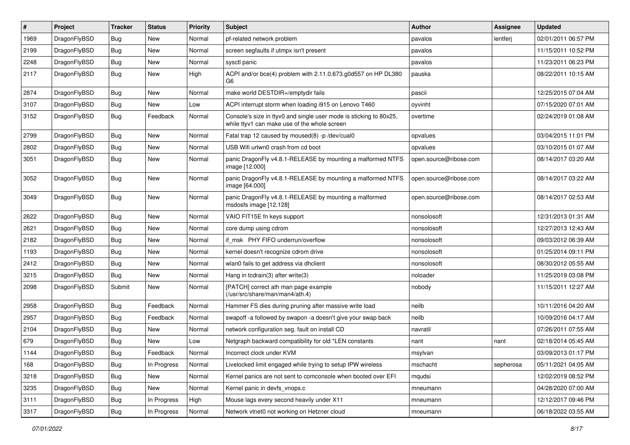| $\pmb{\#}$ | Project      | <b>Tracker</b> | <b>Status</b> | <b>Priority</b> | Subject                                                                                                            | <b>Author</b>          | <b>Assignee</b> | <b>Updated</b>      |
|------------|--------------|----------------|---------------|-----------------|--------------------------------------------------------------------------------------------------------------------|------------------------|-----------------|---------------------|
| 1969       | DragonFlyBSD | Bug            | <b>New</b>    | Normal          | pf-related network problem                                                                                         | pavalos                | lentferj        | 02/01/2011 06:57 PM |
| 2199       | DragonFlyBSD | Bug            | <b>New</b>    | Normal          | screen segfaults if utmpx isn't present                                                                            | pavalos                |                 | 11/15/2011 10:52 PM |
| 2248       | DragonFlyBSD | <b>Bug</b>     | New           | Normal          | sysctl panic                                                                                                       | pavalos                |                 | 11/23/2011 06:23 PM |
| 2117       | DragonFlyBSD | Bug            | <b>New</b>    | High            | ACPI and/or bce(4) problem with 2.11.0.673.g0d557 on HP DL380<br>G6                                                | pauska                 |                 | 08/22/2011 10:15 AM |
| 2874       | DragonFlyBSD | Bug            | <b>New</b>    | Normal          | make world DESTDIR=/emptydir fails                                                                                 | pascii                 |                 | 12/25/2015 07:04 AM |
| 3107       | DragonFlyBSD | Bug            | New           | Low             | ACPI interrupt storm when loading i915 on Lenovo T460                                                              | oyvinht                |                 | 07/15/2020 07:01 AM |
| 3152       | DragonFlyBSD | Bug            | Feedback      | Normal          | Console's size in ttyv0 and single user mode is sticking to 80x25,<br>while ttyv1 can make use of the whole screen | overtime               |                 | 02/24/2019 01:08 AM |
| 2799       | DragonFlyBSD | Bug            | New           | Normal          | Fatal trap 12 caused by moused(8) -p /dev/cual0                                                                    | opvalues               |                 | 03/04/2015 11:01 PM |
| 2802       | DragonFlyBSD | Bug            | <b>New</b>    | Normal          | USB Wifi urtwn0 crash from cd boot                                                                                 | opvalues               |                 | 03/10/2015 01:07 AM |
| 3051       | DragonFlyBSD | Bug            | <b>New</b>    | Normal          | panic DragonFly v4.8.1-RELEASE by mounting a malformed NTFS<br>image [12.000]                                      | open.source@ribose.com |                 | 08/14/2017 03:20 AM |
| 3052       | DragonFlyBSD | <b>Bug</b>     | New           | Normal          | panic DragonFly v4.8.1-RELEASE by mounting a malformed NTFS<br>image [64.000]                                      | open.source@ribose.com |                 | 08/14/2017 03:22 AM |
| 3049       | DragonFlyBSD | <b>Bug</b>     | New           | Normal          | panic DragonFly v4.8.1-RELEASE by mounting a malformed<br>msdosfs image [12.128]                                   | open.source@ribose.com |                 | 08/14/2017 02:53 AM |
| 2622       | DragonFlyBSD | Bug            | <b>New</b>    | Normal          | VAIO FIT15E fn keys support                                                                                        | nonsolosoft            |                 | 12/31/2013 01:31 AM |
| 2621       | DragonFlyBSD | <b>Bug</b>     | <b>New</b>    | Normal          | core dump using cdrom                                                                                              | nonsolosoft            |                 | 12/27/2013 12:43 AM |
| 2182       | DragonFlyBSD | Bug            | <b>New</b>    | Normal          | if msk PHY FIFO underrun/overflow                                                                                  | nonsolosoft            |                 | 09/03/2012 06:39 AM |
| 1193       | DragonFlyBSD | <b>Bug</b>     | <b>New</b>    | Normal          | kernel doesn't recognize cdrom drive                                                                               | nonsolosoft            |                 | 01/25/2014 09:11 PM |
| 2412       | DragonFlyBSD | Bug            | <b>New</b>    | Normal          | wlan0 fails to get address via dhclient                                                                            | nonsolosoft            |                 | 08/30/2012 05:55 AM |
| 3215       | DragonFlyBSD | Bug            | New           | Normal          | Hang in tcdrain(3) after write(3)                                                                                  | noloader               |                 | 11/25/2019 03:08 PM |
| 2098       | DragonFlyBSD | Submit         | New           | Normal          | [PATCH] correct ath man page example<br>(/usr/src/share/man/man4/ath.4)                                            | nobody                 |                 | 11/15/2011 12:27 AM |
| 2958       | DragonFlyBSD | <b>Bug</b>     | Feedback      | Normal          | Hammer FS dies during pruning after massive write load                                                             | neilb                  |                 | 10/11/2016 04:20 AM |
| 2957       | DragonFlyBSD | <b>Bug</b>     | Feedback      | Normal          | swapoff -a followed by swapon -a doesn't give your swap back                                                       | neilb                  |                 | 10/09/2016 04:17 AM |
| 2104       | DragonFlyBSD | Bug            | <b>New</b>    | Normal          | network configuration seg. fault on install CD                                                                     | navratil               |                 | 07/26/2011 07:55 AM |
| 679        | DragonFlyBSD | <b>Bug</b>     | <b>New</b>    | Low             | Netgraph backward compatibility for old *LEN constants                                                             | nant                   | nant            | 02/18/2014 05:45 AM |
| 1144       | DragonFlyBSD | Bug            | Feedback      | Normal          | Incorrect clock under KVM                                                                                          | msylvan                |                 | 03/09/2013 01:17 PM |
| 168        | DragonFlyBSD | <b>Bug</b>     | In Progress   | Normal          | Livelocked limit engaged while trying to setup IPW wireless                                                        | mschacht               | sepherosa       | 05/11/2021 04:05 AM |
| 3218       | DragonFlyBSD | <b>Bug</b>     | New           | Normal          | Kernel panics are not sent to comconsole when booted over EFI                                                      | mqudsi                 |                 | 12/02/2019 08:52 PM |
| 3235       | DragonFlyBSD | <b>Bug</b>     | New           | Normal          | Kernel panic in devfs_vnops.c                                                                                      | mneumann               |                 | 04/28/2020 07:00 AM |
| 3111       | DragonFlyBSD | <b>Bug</b>     | In Progress   | High            | Mouse lags every second heavily under X11                                                                          | mneumann               |                 | 12/12/2017 09:46 PM |
| 3317       | DragonFlyBSD | Bug            | In Progress   | Normal          | Network vtnet0 not working on Hetzner cloud                                                                        | mneumann               |                 | 06/18/2022 03:55 AM |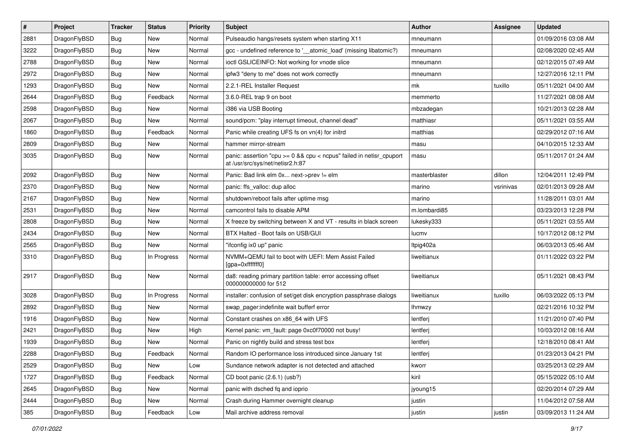| $\sharp$ | Project      | <b>Tracker</b> | <b>Status</b> | <b>Priority</b> | <b>Subject</b>                                                                                          | <b>Author</b> | <b>Assignee</b> | <b>Updated</b>      |
|----------|--------------|----------------|---------------|-----------------|---------------------------------------------------------------------------------------------------------|---------------|-----------------|---------------------|
| 2881     | DragonFlyBSD | Bug            | New           | Normal          | Pulseaudio hangs/resets system when starting X11                                                        | mneumann      |                 | 01/09/2016 03:08 AM |
| 3222     | DragonFlyBSD | Bug            | <b>New</b>    | Normal          | gcc - undefined reference to '__atomic_load' (missing libatomic?)                                       | mneumann      |                 | 02/08/2020 02:45 AM |
| 2788     | DragonFlyBSD | Bug            | <b>New</b>    | Normal          | ioctl GSLICEINFO: Not working for vnode slice                                                           | mneumann      |                 | 02/12/2015 07:49 AM |
| 2972     | DragonFlyBSD | Bug            | New           | Normal          | ipfw3 "deny to me" does not work correctly                                                              | mneumann      |                 | 12/27/2016 12:11 PM |
| 1293     | DragonFlyBSD | Bug            | <b>New</b>    | Normal          | 2.2.1-REL Installer Request                                                                             | mk            | tuxillo         | 05/11/2021 04:00 AM |
| 2644     | DragonFlyBSD | Bug            | Feedback      | Normal          | 3.6.0-REL trap 9 on boot                                                                                | memmerto      |                 | 11/27/2021 08:08 AM |
| 2598     | DragonFlyBSD | Bug            | New           | Normal          | i386 via USB Booting                                                                                    | mbzadegan     |                 | 10/21/2013 02:28 AM |
| 2067     | DragonFlyBSD | Bug            | New           | Normal          | sound/pcm: "play interrupt timeout, channel dead"                                                       | matthiasr     |                 | 05/11/2021 03:55 AM |
| 1860     | DragonFlyBSD | Bug            | Feedback      | Normal          | Panic while creating UFS fs on vn(4) for initrd                                                         | matthias      |                 | 02/29/2012 07:16 AM |
| 2809     | DragonFlyBSD | Bug            | New           | Normal          | hammer mirror-stream                                                                                    | masu          |                 | 04/10/2015 12:33 AM |
| 3035     | DragonFlyBSD | Bug            | New           | Normal          | panic: assertion "cpu >= 0 && cpu < ncpus" failed in netisr_cpuport<br>at /usr/src/sys/net/netisr2.h:87 | masu          |                 | 05/11/2017 01:24 AM |
| 2092     | DragonFlyBSD | Bug            | <b>New</b>    | Normal          | Panic: Bad link elm 0x next->prev != elm                                                                | masterblaster | dillon          | 12/04/2011 12:49 PM |
| 2370     | DragonFlyBSD | <b>Bug</b>     | New           | Normal          | panic: ffs_valloc: dup alloc                                                                            | marino        | vsrinivas       | 02/01/2013 09:28 AM |
| 2167     | DragonFlyBSD | Bug            | New           | Normal          | shutdown/reboot fails after uptime msg                                                                  | marino        |                 | 11/28/2011 03:01 AM |
| 2531     | DragonFlyBSD | Bug            | <b>New</b>    | Normal          | camcontrol fails to disable APM                                                                         | m.lombardi85  |                 | 03/23/2013 12:28 PM |
| 2808     | DragonFlyBSD | Bug            | New           | Normal          | X freeze by switching between X and VT - results in black screen                                        | lukesky333    |                 | 05/11/2021 03:55 AM |
| 2434     | DragonFlyBSD | Bug            | New           | Normal          | BTX Halted - Boot fails on USB/GUI                                                                      | lucmv         |                 | 10/17/2012 08:12 PM |
| 2565     | DragonFlyBSD | Bug            | New           | Normal          | "ifconfig ix0 up" panic                                                                                 | Itpig402a     |                 | 06/03/2013 05:46 AM |
| 3310     | DragonFlyBSD | Bug            | In Progress   | Normal          | NVMM+QEMU fail to boot with UEFI: Mem Assist Failed<br>[gpa=0xfffffff0]                                 | liweitianux   |                 | 01/11/2022 03:22 PM |
| 2917     | DragonFlyBSD | Bug            | New           | Normal          | da8: reading primary partition table: error accessing offset<br>000000000000 for 512                    | liweitianux   |                 | 05/11/2021 08:43 PM |
| 3028     | DragonFlyBSD | Bug            | In Progress   | Normal          | installer: confusion of set/get disk encryption passphrase dialogs                                      | liweitianux   | tuxillo         | 06/03/2022 05:13 PM |
| 2892     | DragonFlyBSD | Bug            | <b>New</b>    | Normal          | swap_pager:indefinite wait bufferf error                                                                | <b>Ihmwzy</b> |                 | 02/21/2016 10:32 PM |
| 1916     | DragonFlyBSD | Bug            | <b>New</b>    | Normal          | Constant crashes on x86 64 with UFS                                                                     | lentferj      |                 | 11/21/2010 07:40 PM |
| 2421     | DragonFlyBSD | Bug            | New           | High            | Kernel panic: vm_fault: page 0xc0f70000 not busy!                                                       | lentferj      |                 | 10/03/2012 08:16 AM |
| 1939     | DragonFlyBSD | Bug            | New           | Normal          | Panic on nightly build and stress test box                                                              | lentferj      |                 | 12/18/2010 08:41 AM |
| 2288     | DragonFlyBSD | Bug            | Feedback      | Normal          | Random IO performance loss introduced since January 1st                                                 | lentferj      |                 | 01/23/2013 04:21 PM |
| 2529     | DragonFlyBSD | Bug            | New           | Low             | Sundance network adapter is not detected and attached                                                   | kworr         |                 | 03/25/2013 02:29 AM |
| 1727     | DragonFlyBSD | Bug            | Feedback      | Normal          | CD boot panic (2.6.1) (usb?)                                                                            | kiril         |                 | 05/15/2022 05:10 AM |
| 2645     | DragonFlyBSD | <b>Bug</b>     | New           | Normal          | panic with dsched fq and ioprio                                                                         | jyoung15      |                 | 02/20/2014 07:29 AM |
| 2444     | DragonFlyBSD | Bug            | New           | Normal          | Crash during Hammer overnight cleanup                                                                   | justin        |                 | 11/04/2012 07:58 AM |
| 385      | DragonFlyBSD | <b>Bug</b>     | Feedback      | Low             | Mail archive address removal                                                                            | justin        | justin          | 03/09/2013 11:24 AM |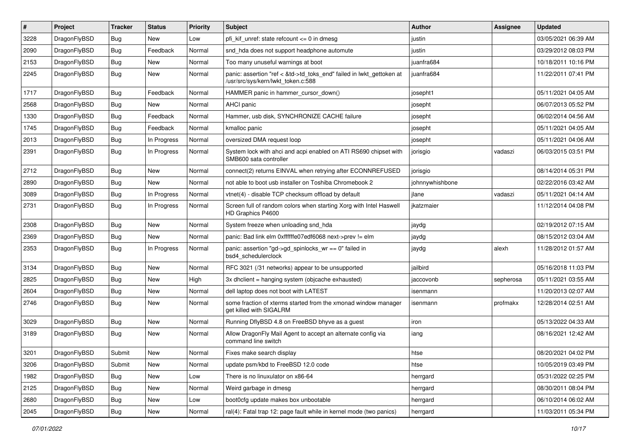| #    | Project      | <b>Tracker</b> | <b>Status</b> | <b>Priority</b> | Subject                                                                                                    | Author          | Assignee  | <b>Updated</b>      |
|------|--------------|----------------|---------------|-----------------|------------------------------------------------------------------------------------------------------------|-----------------|-----------|---------------------|
| 3228 | DragonFlyBSD | Bug            | New           | Low             | pfi kif unref: state refcount $\leq 0$ in dmesg                                                            | justin          |           | 03/05/2021 06:39 AM |
| 2090 | DragonFlyBSD | <b>Bug</b>     | Feedback      | Normal          | snd_hda does not support headphone automute                                                                | justin          |           | 03/29/2012 08:03 PM |
| 2153 | DragonFlyBSD | <b>Bug</b>     | New           | Normal          | Too many unuseful warnings at boot                                                                         | juanfra684      |           | 10/18/2011 10:16 PM |
| 2245 | DragonFlyBSD | Bug            | New           | Normal          | panic: assertion "ref < &td->td_toks_end" failed in lwkt_gettoken at<br>/usr/src/sys/kern/lwkt_token.c:588 | juanfra684      |           | 11/22/2011 07:41 PM |
| 1717 | DragonFlyBSD | Bug            | Feedback      | Normal          | HAMMER panic in hammer cursor down()                                                                       | josepht1        |           | 05/11/2021 04:05 AM |
| 2568 | DragonFlyBSD | <b>Bug</b>     | New           | Normal          | AHCI panic                                                                                                 | josepht         |           | 06/07/2013 05:52 PM |
| 1330 | DragonFlyBSD | <b>Bug</b>     | Feedback      | Normal          | Hammer, usb disk, SYNCHRONIZE CACHE failure                                                                | josepht         |           | 06/02/2014 04:56 AM |
| 1745 | DragonFlyBSD | Bug            | Feedback      | Normal          | kmalloc panic                                                                                              | josepht         |           | 05/11/2021 04:05 AM |
| 2013 | DragonFlyBSD | Bug            | In Progress   | Normal          | oversized DMA request loop                                                                                 | josepht         |           | 05/11/2021 04:06 AM |
| 2391 | DragonFlyBSD | Bug            | In Progress   | Normal          | System lock with ahci and acpi enabled on ATI RS690 chipset with<br>SMB600 sata controller                 | jorisgio        | vadaszi   | 06/03/2015 03:51 PM |
| 2712 | DragonFlyBSD | <b>Bug</b>     | New           | Normal          | connect(2) returns EINVAL when retrying after ECONNREFUSED                                                 | jorisgio        |           | 08/14/2014 05:31 PM |
| 2890 | DragonFlyBSD | Bug            | New           | Normal          | not able to boot usb installer on Toshiba Chromebook 2                                                     | johnnywhishbone |           | 02/22/2016 03:42 AM |
| 3089 | DragonFlyBSD | Bug            | In Progress   | Normal          | vtnet(4) - disable TCP checksum offload by default                                                         | jlane           | vadaszi   | 05/11/2021 04:14 AM |
| 2731 | DragonFlyBSD | <b>Bug</b>     | In Progress   | Normal          | Screen full of random colors when starting Xorg with Intel Haswell<br>HD Graphics P4600                    | jkatzmaier      |           | 11/12/2014 04:08 PM |
| 2308 | DragonFlyBSD | <b>Bug</b>     | <b>New</b>    | Normal          | System freeze when unloading snd_hda                                                                       | jaydg           |           | 02/19/2012 07:15 AM |
| 2369 | DragonFlyBSD | <b>Bug</b>     | New           | Normal          | panic: Bad link elm 0xffffffe07edf6068 next->prev != elm                                                   | jaydg           |           | 08/15/2012 03:04 AM |
| 2353 | DragonFlyBSD | Bug            | In Progress   | Normal          | panic: assertion "gd->gd spinlocks $wr == 0$ " failed in<br>bsd4_schedulerclock                            | jaydg           | alexh     | 11/28/2012 01:57 AM |
| 3134 | DragonFlyBSD | Bug            | New           | Normal          | RFC 3021 (/31 networks) appear to be unsupported                                                           | jailbird        |           | 05/16/2018 11:03 PM |
| 2825 | DragonFlyBSD | <b>Bug</b>     | <b>New</b>    | High            | 3x dhclient = hanging system (objcache exhausted)                                                          | jaccovonb       | sepherosa | 05/11/2021 03:55 AM |
| 2604 | DragonFlyBSD | <b>Bug</b>     | <b>New</b>    | Normal          | dell laptop does not boot with LATEST                                                                      | isenmann        |           | 11/20/2013 02:07 AM |
| 2746 | DragonFlyBSD | Bug            | New           | Normal          | some fraction of xterms started from the xmonad window manager<br>get killed with SIGALRM                  | isenmann        | profmakx  | 12/28/2014 02:51 AM |
| 3029 | DragonFlyBSD | <b>Bug</b>     | <b>New</b>    | Normal          | Running DflyBSD 4.8 on FreeBSD bhyve as a guest                                                            | iron            |           | 05/13/2022 04:33 AM |
| 3189 | DragonFlyBSD | Bug            | New           | Normal          | Allow DragonFly Mail Agent to accept an alternate config via<br>command line switch                        | iang            |           | 08/16/2021 12:42 AM |
| 3201 | DragonFlyBSD | Submit         | New           | Normal          | Fixes make search display                                                                                  | htse            |           | 08/20/2021 04:02 PM |
| 3206 | DragonFlyBSD | Submit         | New           | Normal          | update psm/kbd to FreeBSD 12.0 code                                                                        | htse            |           | 10/05/2019 03:49 PM |
| 1982 | DragonFlyBSD | <b>Bug</b>     | New           | Low             | There is no linuxulator on x86-64                                                                          | herrgard        |           | 05/31/2022 02:25 PM |
| 2125 | DragonFlyBSD | <b>Bug</b>     | New           | Normal          | Weird garbage in dmesg                                                                                     | herrgard        |           | 08/30/2011 08:04 PM |
| 2680 | DragonFlyBSD | <b>Bug</b>     | New           | Low             | boot0cfg update makes box unbootable                                                                       | herrgard        |           | 06/10/2014 06:02 AM |
| 2045 | DragonFlyBSD | <b>Bug</b>     | New           | Normal          | ral(4): Fatal trap 12: page fault while in kernel mode (two panics)                                        | herrgard        |           | 11/03/2011 05:34 PM |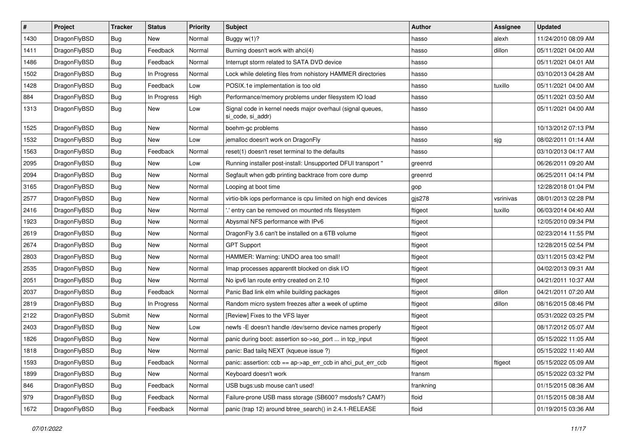| $\vert$ # | Project      | <b>Tracker</b> | <b>Status</b> | <b>Priority</b> | Subject                                                                         | <b>Author</b> | <b>Assignee</b> | <b>Updated</b>      |
|-----------|--------------|----------------|---------------|-----------------|---------------------------------------------------------------------------------|---------------|-----------------|---------------------|
| 1430      | DragonFlyBSD | <b>Bug</b>     | New           | Normal          | Buggy w(1)?                                                                     | hasso         | alexh           | 11/24/2010 08:09 AM |
| 1411      | DragonFlyBSD | <b>Bug</b>     | Feedback      | Normal          | Burning doesn't work with ahci(4)                                               | hasso         | dillon          | 05/11/2021 04:00 AM |
| 1486      | DragonFlyBSD | <b>Bug</b>     | Feedback      | Normal          | Interrupt storm related to SATA DVD device                                      | hasso         |                 | 05/11/2021 04:01 AM |
| 1502      | DragonFlyBSD | <b>Bug</b>     | In Progress   | Normal          | Lock while deleting files from nohistory HAMMER directories                     | hasso         |                 | 03/10/2013 04:28 AM |
| 1428      | DragonFlyBSD | <b>Bug</b>     | Feedback      | Low             | POSIX.1e implementation is too old                                              | hasso         | tuxillo         | 05/11/2021 04:00 AM |
| 884       | DragonFlyBSD | <b>Bug</b>     | In Progress   | High            | Performance/memory problems under filesystem IO load                            | hasso         |                 | 05/11/2021 03:50 AM |
| 1313      | DragonFlyBSD | Bug            | New           | Low             | Signal code in kernel needs major overhaul (signal queues,<br>si code, si addr) | hasso         |                 | 05/11/2021 04:00 AM |
| 1525      | DragonFlyBSD | Bug            | <b>New</b>    | Normal          | boehm-gc problems                                                               | hasso         |                 | 10/13/2012 07:13 PM |
| 1532      | DragonFlyBSD | <b>Bug</b>     | New           | Low             | jemalloc doesn't work on DragonFly                                              | hasso         | sjg             | 08/02/2011 01:14 AM |
| 1563      | DragonFlyBSD | <b>Bug</b>     | Feedback      | Normal          | reset(1) doesn't reset terminal to the defaults                                 | hasso         |                 | 03/10/2013 04:17 AM |
| 2095      | DragonFlyBSD | Bug            | New           | Low             | Running installer post-install: Unsupported DFUI transport "                    | greenrd       |                 | 06/26/2011 09:20 AM |
| 2094      | DragonFlyBSD | <b>Bug</b>     | New           | Normal          | Segfault when gdb printing backtrace from core dump                             | greenrd       |                 | 06/25/2011 04:14 PM |
| 3165      | DragonFlyBSD | <b>Bug</b>     | New           | Normal          | Looping at boot time                                                            | gop           |                 | 12/28/2018 01:04 PM |
| 2577      | DragonFlyBSD | <b>Bug</b>     | New           | Normal          | virtio-blk iops performance is cpu limited on high end devices                  | gjs278        | vsrinivas       | 08/01/2013 02:28 PM |
| 2416      | DragonFlyBSD | <b>Bug</b>     | New           | Normal          | ".' entry can be removed on mounted nfs filesystem                              | ftigeot       | tuxillo         | 06/03/2014 04:40 AM |
| 1923      | DragonFlyBSD | Bug            | New           | Normal          | Abysmal NFS performance with IPv6                                               | ftigeot       |                 | 12/05/2010 09:34 PM |
| 2619      | DragonFlyBSD | <b>Bug</b>     | New           | Normal          | DragonFly 3.6 can't be installed on a 6TB volume                                | ftigeot       |                 | 02/23/2014 11:55 PM |
| 2674      | DragonFlyBSD | <b>Bug</b>     | New           | Normal          | <b>GPT Support</b>                                                              | ftigeot       |                 | 12/28/2015 02:54 PM |
| 2803      | DragonFlyBSD | <b>Bug</b>     | New           | Normal          | HAMMER: Warning: UNDO area too small!                                           | ftigeot       |                 | 03/11/2015 03:42 PM |
| 2535      | DragonFlyBSD | <b>Bug</b>     | New           | Normal          | Imap processes apparentlt blocked on disk I/O                                   | ftigeot       |                 | 04/02/2013 09:31 AM |
| 2051      | DragonFlyBSD | <b>Bug</b>     | New           | Normal          | No ipv6 lan route entry created on 2.10                                         | ftigeot       |                 | 04/21/2011 10:37 AM |
| 2037      | DragonFlyBSD | <b>Bug</b>     | Feedback      | Normal          | Panic Bad link elm while building packages                                      | ftigeot       | dillon          | 04/21/2011 07:20 AM |
| 2819      | DragonFlyBSD | <b>Bug</b>     | In Progress   | Normal          | Random micro system freezes after a week of uptime                              | ftigeot       | dillon          | 08/16/2015 08:46 PM |
| 2122      | DragonFlyBSD | Submit         | New           | Normal          | [Review] Fixes to the VFS layer                                                 | ftigeot       |                 | 05/31/2022 03:25 PM |
| 2403      | DragonFlyBSD | Bug            | New           | Low             | newfs -E doesn't handle /dev/serno device names properly                        | ftigeot       |                 | 08/17/2012 05:07 AM |
| 1826      | DragonFlyBSD | <b>Bug</b>     | New           | Normal          | panic during boot: assertion so->so_port  in tcp_input                          | ftigeot       |                 | 05/15/2022 11:05 AM |
| 1818      | DragonFlyBSD | <b>Bug</b>     | New           | Normal          | panic: Bad tailq NEXT (kqueue issue ?)                                          | ftigeot       |                 | 05/15/2022 11:40 AM |
| 1593      | DragonFlyBSD | <b>Bug</b>     | Feedback      | Normal          | panic: assertion: ccb == ap->ap_err_ccb in ahci_put_err_ccb                     | ftigeot       | ftigeot         | 05/15/2022 05:09 AM |
| 1899      | DragonFlyBSD | <b>Bug</b>     | New           | Normal          | Keyboard doesn't work                                                           | fransm        |                 | 05/15/2022 03:32 PM |
| 846       | DragonFlyBSD | <b>Bug</b>     | Feedback      | Normal          | USB bugs:usb mouse can't used!                                                  | frankning     |                 | 01/15/2015 08:36 AM |
| 979       | DragonFlyBSD | <b>Bug</b>     | Feedback      | Normal          | Failure-prone USB mass storage (SB600? msdosfs? CAM?)                           | floid         |                 | 01/15/2015 08:38 AM |
| 1672      | DragonFlyBSD | <b>Bug</b>     | Feedback      | Normal          | panic (trap 12) around btree_search() in 2.4.1-RELEASE                          | floid         |                 | 01/19/2015 03:36 AM |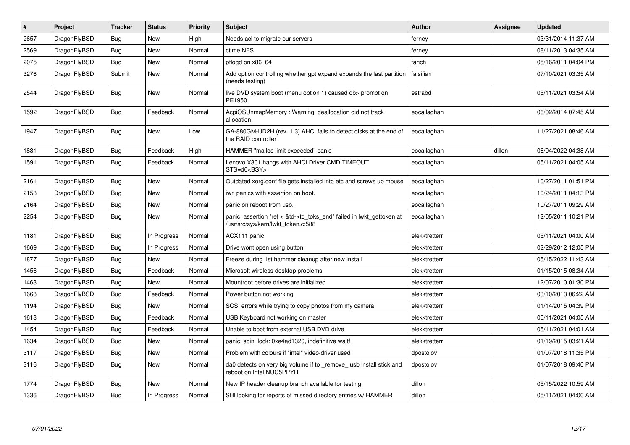| $\vert$ # | Project      | <b>Tracker</b> | <b>Status</b> | <b>Priority</b> | <b>Subject</b>                                                                                             | <b>Author</b> | Assignee | <b>Updated</b>      |
|-----------|--------------|----------------|---------------|-----------------|------------------------------------------------------------------------------------------------------------|---------------|----------|---------------------|
| 2657      | DragonFlyBSD | <b>Bug</b>     | <b>New</b>    | High            | Needs acl to migrate our servers                                                                           | ferney        |          | 03/31/2014 11:37 AM |
| 2569      | DragonFlyBSD | <b>Bug</b>     | <b>New</b>    | Normal          | ctime NFS                                                                                                  | ferney        |          | 08/11/2013 04:35 AM |
| 2075      | DragonFlyBSD | Bug            | <b>New</b>    | Normal          | pflogd on x86 64                                                                                           | fanch         |          | 05/16/2011 04:04 PM |
| 3276      | DragonFlyBSD | Submit         | New           | Normal          | Add option controlling whether gpt expand expands the last partition<br>(needs testing)                    | falsifian     |          | 07/10/2021 03:35 AM |
| 2544      | DragonFlyBSD | <b>Bug</b>     | <b>New</b>    | Normal          | live DVD system boot (menu option 1) caused db> prompt on<br>PE1950                                        | estrabd       |          | 05/11/2021 03:54 AM |
| 1592      | DragonFlyBSD | <b>Bug</b>     | Feedback      | Normal          | AcpiOSUnmapMemory: Warning, deallocation did not track<br>allocation.                                      | eocallaghan   |          | 06/02/2014 07:45 AM |
| 1947      | DragonFlyBSD | Bug            | New           | Low             | GA-880GM-UD2H (rev. 1.3) AHCI fails to detect disks at the end of<br>the RAID controller                   | eocallaghan   |          | 11/27/2021 08:46 AM |
| 1831      | DragonFlyBSD | <b>Bug</b>     | Feedback      | High            | HAMMER "malloc limit exceeded" panic                                                                       | eocallaghan   | dillon   | 06/04/2022 04:38 AM |
| 1591      | DragonFlyBSD | <b>Bug</b>     | Feedback      | Normal          | Lenovo X301 hangs with AHCI Driver CMD TIMEOUT<br>STS=d0 <bsy></bsy>                                       | eocallaghan   |          | 05/11/2021 04:05 AM |
| 2161      | DragonFlyBSD | Bug            | New           | Normal          | Outdated xorg.conf file gets installed into etc and screws up mouse                                        | eocallaghan   |          | 10/27/2011 01:51 PM |
| 2158      | DragonFlyBSD | Bug            | New           | Normal          | iwn panics with assertion on boot.                                                                         | eocallaghan   |          | 10/24/2011 04:13 PM |
| 2164      | DragonFlyBSD | Bug            | <b>New</b>    | Normal          | panic on reboot from usb.                                                                                  | eocallaghan   |          | 10/27/2011 09:29 AM |
| 2254      | DragonFlyBSD | <b>Bug</b>     | <b>New</b>    | Normal          | panic: assertion "ref < &td->td toks end" failed in lwkt gettoken at<br>/usr/src/sys/kern/lwkt_token.c:588 | eocallaghan   |          | 12/05/2011 10:21 PM |
| 1181      | DragonFlyBSD | Bug            | In Progress   | Normal          | ACX111 panic                                                                                               | elekktretterr |          | 05/11/2021 04:00 AM |
| 1669      | DragonFlyBSD | <b>Bug</b>     | In Progress   | Normal          | Drive wont open using button                                                                               | elekktretterr |          | 02/29/2012 12:05 PM |
| 1877      | DragonFlyBSD | Bug            | New           | Normal          | Freeze during 1st hammer cleanup after new install                                                         | elekktretterr |          | 05/15/2022 11:43 AM |
| 1456      | DragonFlyBSD | Bug            | Feedback      | Normal          | Microsoft wireless desktop problems                                                                        | elekktretterr |          | 01/15/2015 08:34 AM |
| 1463      | DragonFlyBSD | Bug            | New           | Normal          | Mountroot before drives are initialized                                                                    | elekktretterr |          | 12/07/2010 01:30 PM |
| 1668      | DragonFlyBSD | Bug            | Feedback      | Normal          | Power button not working                                                                                   | elekktretterr |          | 03/10/2013 06:22 AM |
| 1194      | DragonFlyBSD | <b>Bug</b>     | <b>New</b>    | Normal          | SCSI errors while trying to copy photos from my camera                                                     | elekktretterr |          | 01/14/2015 04:39 PM |
| 1613      | DragonFlyBSD | <b>Bug</b>     | Feedback      | Normal          | USB Keyboard not working on master                                                                         | elekktretterr |          | 05/11/2021 04:05 AM |
| 1454      | DragonFlyBSD | <b>Bug</b>     | Feedback      | Normal          | Unable to boot from external USB DVD drive                                                                 | elekktretterr |          | 05/11/2021 04:01 AM |
| 1634      | DragonFlyBSD | Bug            | <b>New</b>    | Normal          | panic: spin lock: 0xe4ad1320, indefinitive wait!                                                           | elekktretterr |          | 01/19/2015 03:21 AM |
| 3117      | DragonFlyBSD | Bug            | <b>New</b>    | Normal          | Problem with colours if "intel" video-driver used                                                          | dpostolov     |          | 01/07/2018 11:35 PM |
| 3116      | DragonFlyBSD | Bug            | <b>New</b>    | Normal          | da0 detects on very big volume if to remove usb install stick and<br>reboot on Intel NUC5PPYH              | dpostolov     |          | 01/07/2018 09:40 PM |
| 1774      | DragonFlyBSD | Bug            | <b>New</b>    | Normal          | New IP header cleanup branch available for testing                                                         | dillon        |          | 05/15/2022 10:59 AM |
| 1336      | DragonFlyBSD | Bug            | In Progress   | Normal          | Still looking for reports of missed directory entries w/ HAMMER                                            | dillon        |          | 05/11/2021 04:00 AM |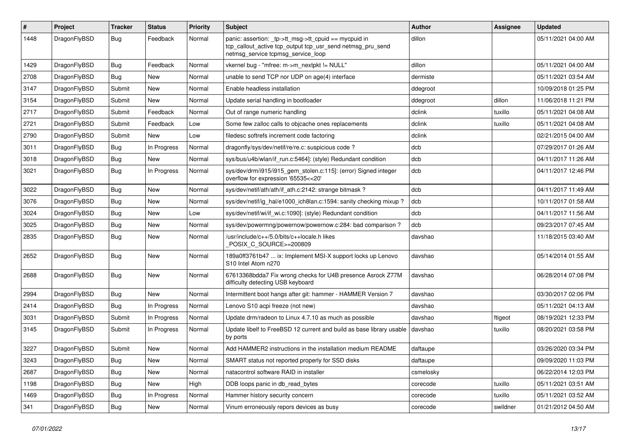| #    | Project      | <b>Tracker</b> | <b>Status</b> | <b>Priority</b> | Subject                                                                                                                                                   | <b>Author</b> | Assignee | <b>Updated</b>      |
|------|--------------|----------------|---------------|-----------------|-----------------------------------------------------------------------------------------------------------------------------------------------------------|---------------|----------|---------------------|
| 1448 | DragonFlyBSD | Bug            | Feedback      | Normal          | panic: assertion: _tp->tt_msg->tt_cpuid == mycpuid in<br>tcp_callout_active tcp_output tcp_usr_send netmsg_pru_send<br>netmsg_service tcpmsg_service_loop | dillon        |          | 05/11/2021 04:00 AM |
| 1429 | DragonFlyBSD | Bug            | Feedback      | Normal          | vkernel bug - "mfree: m->m_nextpkt != NULL"                                                                                                               | dillon        |          | 05/11/2021 04:00 AM |
| 2708 | DragonFlyBSD | Bug            | <b>New</b>    | Normal          | unable to send TCP nor UDP on age(4) interface                                                                                                            | dermiste      |          | 05/11/2021 03:54 AM |
| 3147 | DragonFlyBSD | Submit         | New           | Normal          | Enable headless installation                                                                                                                              | ddegroot      |          | 10/09/2018 01:25 PM |
| 3154 | DragonFlyBSD | Submit         | <b>New</b>    | Normal          | Update serial handling in bootloader                                                                                                                      | ddegroot      | dillon   | 11/06/2018 11:21 PM |
| 2717 | DragonFlyBSD | Submit         | Feedback      | Normal          | Out of range numeric handling                                                                                                                             | dclink        | tuxillo  | 05/11/2021 04:08 AM |
| 2721 | DragonFlyBSD | Submit         | Feedback      | Low             | Some few zalloc calls to objcache ones replacements                                                                                                       | dclink        | tuxillo  | 05/11/2021 04:08 AM |
| 2790 | DragonFlyBSD | Submit         | <b>New</b>    | Low             | filedesc softrefs increment code factoring                                                                                                                | dclink        |          | 02/21/2015 04:00 AM |
| 3011 | DragonFlyBSD | <b>Bug</b>     | In Progress   | Normal          | dragonfly/sys/dev/netif/re/re.c: suspicious code?                                                                                                         | dcb           |          | 07/29/2017 01:26 AM |
| 3018 | DragonFlyBSD | <b>Bug</b>     | <b>New</b>    | Normal          | sys/bus/u4b/wlan/if_run.c:5464]: (style) Redundant condition                                                                                              | dcb           |          | 04/11/2017 11:26 AM |
| 3021 | DragonFlyBSD | Bug            | In Progress   | Normal          | sys/dev/drm/i915/i915_gem_stolen.c:115]: (error) Signed integer<br>overflow for expression '65535<<20'                                                    | dcb           |          | 04/11/2017 12:46 PM |
| 3022 | DragonFlyBSD | Bug            | <b>New</b>    | Normal          | sys/dev/netif/ath/ath/if_ath.c:2142: strange bitmask?                                                                                                     | dcb           |          | 04/11/2017 11:49 AM |
| 3076 | DragonFlyBSD | <b>Bug</b>     | New           | Normal          | sys/dev/netif/ig hal/e1000 ich8lan.c:1594: sanity checking mixup?                                                                                         | dcb           |          | 10/11/2017 01:58 AM |
| 3024 | DragonFlyBSD | <b>Bug</b>     | <b>New</b>    | Low             | sys/dev/netif/wi/if wi.c:1090]: (style) Redundant condition                                                                                               | dcb           |          | 04/11/2017 11:56 AM |
| 3025 | DragonFlyBSD | Bug            | <b>New</b>    | Normal          | sys/dev/powermng/powernow/powernow.c:284: bad comparison?                                                                                                 | dcb           |          | 09/23/2017 07:45 AM |
| 2835 | DragonFlyBSD | <b>Bug</b>     | <b>New</b>    | Normal          | /usr/include/c++/5.0/bits/c++locale.h likes<br>POSIX C_SOURCE>=200809                                                                                     | davshao       |          | 11/18/2015 03:40 AM |
| 2652 | DragonFlyBSD | Bug            | <b>New</b>    | Normal          | 189a0ff3761b47  ix: Implement MSI-X support locks up Lenovo<br>S10 Intel Atom n270                                                                        | davshao       |          | 05/14/2014 01:55 AM |
| 2688 | DragonFlyBSD | Bug            | <b>New</b>    | Normal          | 67613368bdda7 Fix wrong checks for U4B presence Asrock Z77M<br>difficulty detecting USB keyboard                                                          | davshao       |          | 06/28/2014 07:08 PM |
| 2994 | DragonFlyBSD | Bug            | <b>New</b>    | Normal          | Intermittent boot hangs after git: hammer - HAMMER Version 7                                                                                              | davshao       |          | 03/30/2017 02:06 PM |
| 2414 | DragonFlyBSD | Bug            | In Progress   | Normal          | Lenovo S10 acpi freeze (not new)                                                                                                                          | davshao       |          | 05/11/2021 04:13 AM |
| 3031 | DragonFlyBSD | Submit         | In Progress   | Normal          | Update drm/radeon to Linux 4.7.10 as much as possible                                                                                                     | davshao       | ftigeot  | 08/19/2021 12:33 PM |
| 3145 | DragonFlyBSD | Submit         | In Progress   | Normal          | Update libelf to FreeBSD 12 current and build as base library usable<br>by ports                                                                          | davshao       | tuxillo  | 08/20/2021 03:58 PM |
| 3227 | DragonFlyBSD | Submit         | New           | Normal          | Add HAMMER2 instructions in the installation medium README                                                                                                | daftaupe      |          | 03/26/2020 03:34 PM |
| 3243 | DragonFlyBSD | Bug            | <b>New</b>    | Normal          | SMART status not reported properly for SSD disks                                                                                                          | daftaupe      |          | 09/09/2020 11:03 PM |
| 2687 | DragonFlyBSD | Bug            | New           | Normal          | natacontrol software RAID in installer                                                                                                                    | csmelosky     |          | 06/22/2014 12:03 PM |
| 1198 | DragonFlyBSD | <b>Bug</b>     | New           | High            | DDB loops panic in db_read_bytes                                                                                                                          | corecode      | tuxillo  | 05/11/2021 03:51 AM |
| 1469 | DragonFlyBSD | <b>Bug</b>     | In Progress   | Normal          | Hammer history security concern                                                                                                                           | corecode      | tuxillo  | 05/11/2021 03:52 AM |
| 341  | DragonFlyBSD | <b>Bug</b>     | New           | Normal          | Vinum erroneously repors devices as busy                                                                                                                  | corecode      | swildner | 01/21/2012 04:50 AM |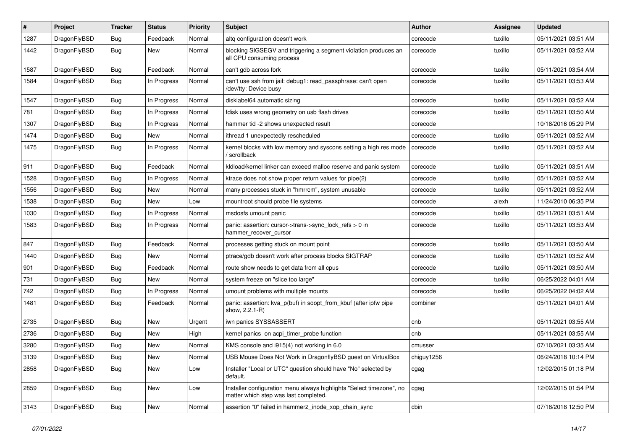| #    | Project      | <b>Tracker</b> | <b>Status</b> | <b>Priority</b> | Subject                                                                                                       | <b>Author</b> | <b>Assignee</b> | <b>Updated</b>      |
|------|--------------|----------------|---------------|-----------------|---------------------------------------------------------------------------------------------------------------|---------------|-----------------|---------------------|
| 1287 | DragonFlyBSD | <b>Bug</b>     | Feedback      | Normal          | altg configuration doesn't work                                                                               | corecode      | tuxillo         | 05/11/2021 03:51 AM |
| 1442 | DragonFlyBSD | <b>Bug</b>     | New           | Normal          | blocking SIGSEGV and triggering a segment violation produces an<br>all CPU consuming process                  | corecode      | tuxillo         | 05/11/2021 03:52 AM |
| 1587 | DragonFlyBSD | Bug            | Feedback      | Normal          | can't gdb across fork                                                                                         | corecode      | tuxillo         | 05/11/2021 03:54 AM |
| 1584 | DragonFlyBSD | Bug            | In Progress   | Normal          | can't use ssh from jail: debug1: read_passphrase: can't open<br>/dev/tty: Device busy                         | corecode      | tuxillo         | 05/11/2021 03:53 AM |
| 1547 | DragonFlyBSD | Bug            | In Progress   | Normal          | disklabel64 automatic sizing                                                                                  | corecode      | tuxillo         | 05/11/2021 03:52 AM |
| 781  | DragonFlyBSD | Bug            | In Progress   | Normal          | fdisk uses wrong geometry on usb flash drives                                                                 | corecode      | tuxillo         | 05/11/2021 03:50 AM |
| 1307 | DragonFlyBSD | Bug            | In Progress   | Normal          | hammer tid -2 shows unexpected result                                                                         | corecode      |                 | 10/18/2016 05:29 PM |
| 1474 | DragonFlyBSD | Bug            | New           | Normal          | ithread 1 unexpectedly rescheduled                                                                            | corecode      | tuxillo         | 05/11/2021 03:52 AM |
| 1475 | DragonFlyBSD | Bug            | In Progress   | Normal          | kernel blocks with low memory and syscons setting a high res mode<br>/ scrollback                             | corecode      | tuxillo         | 05/11/2021 03:52 AM |
| 911  | DragonFlyBSD | Bug            | Feedback      | Normal          | kidload/kernel linker can exceed malloc reserve and panic system                                              | corecode      | tuxillo         | 05/11/2021 03:51 AM |
| 1528 | DragonFlyBSD | Bug            | In Progress   | Normal          | ktrace does not show proper return values for pipe(2)                                                         | corecode      | tuxillo         | 05/11/2021 03:52 AM |
| 1556 | DragonFlyBSD | Bug            | New           | Normal          | many processes stuck in "hmrrcm", system unusable                                                             | corecode      | tuxillo         | 05/11/2021 03:52 AM |
| 1538 | DragonFlyBSD | Bug            | New           | Low             | mountroot should probe file systems                                                                           | corecode      | alexh           | 11/24/2010 06:35 PM |
| 1030 | DragonFlyBSD | Bug            | In Progress   | Normal          | msdosfs umount panic                                                                                          | corecode      | tuxillo         | 05/11/2021 03:51 AM |
| 1583 | DragonFlyBSD | Bug            | In Progress   | Normal          | panic: assertion: cursor->trans->sync_lock_refs > 0 in<br>hammer_recover_cursor                               | corecode      | tuxillo         | 05/11/2021 03:53 AM |
| 847  | DragonFlyBSD | Bug            | Feedback      | Normal          | processes getting stuck on mount point                                                                        | corecode      | tuxillo         | 05/11/2021 03:50 AM |
| 1440 | DragonFlyBSD | Bug            | New           | Normal          | ptrace/gdb doesn't work after process blocks SIGTRAP                                                          | corecode      | tuxillo         | 05/11/2021 03:52 AM |
| 901  | DragonFlyBSD | <b>Bug</b>     | Feedback      | Normal          | route show needs to get data from all cpus                                                                    | corecode      | tuxillo         | 05/11/2021 03:50 AM |
| 731  | DragonFlyBSD | <b>Bug</b>     | New           | Normal          | system freeze on "slice too large"                                                                            | corecode      | tuxillo         | 06/25/2022 04:01 AM |
| 742  | DragonFlyBSD | <b>Bug</b>     | In Progress   | Normal          | umount problems with multiple mounts                                                                          | corecode      | tuxillo         | 06/25/2022 04:02 AM |
| 1481 | DragonFlyBSD | <b>Bug</b>     | Feedback      | Normal          | panic: assertion: kva_p(buf) in soopt_from_kbuf (after ipfw pipe<br>show, 2.2.1-R)                            | combiner      |                 | 05/11/2021 04:01 AM |
| 2735 | DragonFlyBSD | Bug            | New           | Urgent          | iwn panics SYSSASSERT                                                                                         | cnb           |                 | 05/11/2021 03:55 AM |
| 2736 | DragonFlyBSD | <b>Bug</b>     | New           | High            | kernel panics on acpi_timer_probe function                                                                    | cnb           |                 | 05/11/2021 03:55 AM |
| 3280 | DragonFlyBSD | Bug            | New           | Normal          | KMS console and i915(4) not working in 6.0                                                                    | cmusser       |                 | 07/10/2021 03:35 AM |
| 3139 | DragonFlyBSD | <b>Bug</b>     | New           | Normal          | USB Mouse Does Not Work in DragonflyBSD guest on VirtualBox                                                   | chiguy1256    |                 | 06/24/2018 10:14 PM |
| 2858 | DragonFlyBSD | Bug            | New           | Low             | Installer "Local or UTC" question should have "No" selected by<br>default.                                    | cgag          |                 | 12/02/2015 01:18 PM |
| 2859 | DragonFlyBSD | <b>Bug</b>     | New           | Low             | Installer configuration menu always highlights "Select timezone", no<br>matter which step was last completed. | cgag          |                 | 12/02/2015 01:54 PM |
| 3143 | DragonFlyBSD | <b>Bug</b>     | New           | Normal          | assertion "0" failed in hammer2 inode xop chain sync                                                          | cbin          |                 | 07/18/2018 12:50 PM |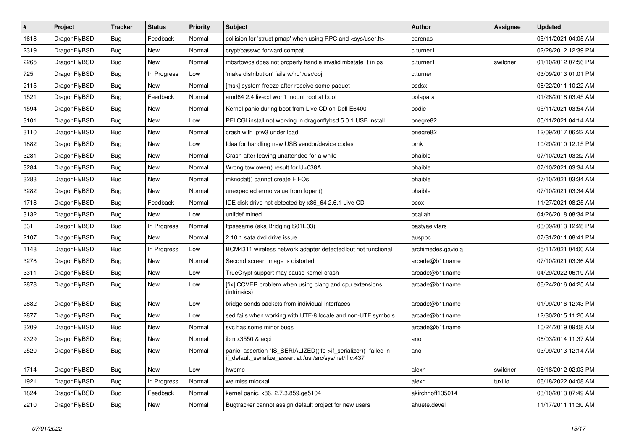| $\vert$ # | <b>Project</b> | <b>Tracker</b> | <b>Status</b> | <b>Priority</b> | <b>Subject</b>                                                                                                               | Author             | Assignee | <b>Updated</b>      |
|-----------|----------------|----------------|---------------|-----------------|------------------------------------------------------------------------------------------------------------------------------|--------------------|----------|---------------------|
| 1618      | DragonFlyBSD   | Bug            | Feedback      | Normal          | collision for 'struct pmap' when using RPC and <sys user.h=""></sys>                                                         | carenas            |          | 05/11/2021 04:05 AM |
| 2319      | DragonFlyBSD   | Bug            | New           | Normal          | crypt/passwd forward compat                                                                                                  | c.turner1          |          | 02/28/2012 12:39 PM |
| 2265      | DragonFlyBSD   | Bug            | New           | Normal          | mbsrtowcs does not properly handle invalid mbstate t in ps.                                                                  | c.turner1          | swildner | 01/10/2012 07:56 PM |
| 725       | DragonFlyBSD   | <b>Bug</b>     | In Progress   | Low             | 'make distribution' fails w/'ro' /usr/obj                                                                                    | c.turner           |          | 03/09/2013 01:01 PM |
| 2115      | DragonFlyBSD   | <b>Bug</b>     | New           | Normal          | [msk] system freeze after receive some paquet                                                                                | bsdsx              |          | 08/22/2011 10:22 AM |
| 1521      | DragonFlyBSD   | <b>Bug</b>     | Feedback      | Normal          | amd64 2.4 livecd won't mount root at boot                                                                                    | bolapara           |          | 01/28/2018 03:45 AM |
| 1594      | DragonFlyBSD   | <b>Bug</b>     | New           | Normal          | Kernel panic during boot from Live CD on Dell E6400                                                                          | bodie              |          | 05/11/2021 03:54 AM |
| 3101      | DragonFlyBSD   | Bug            | New           | Low             | PFI CGI install not working in dragonflybsd 5.0.1 USB install                                                                | bnegre82           |          | 05/11/2021 04:14 AM |
| 3110      | DragonFlyBSD   | <b>Bug</b>     | <b>New</b>    | Normal          | crash with ipfw3 under load                                                                                                  | bnegre82           |          | 12/09/2017 06:22 AM |
| 1882      | DragonFlyBSD   | Bug            | New           | Low             | Idea for handling new USB vendor/device codes                                                                                | bmk                |          | 10/20/2010 12:15 PM |
| 3281      | DragonFlyBSD   | Bug            | New           | Normal          | Crash after leaving unattended for a while                                                                                   | bhaible            |          | 07/10/2021 03:32 AM |
| 3284      | DragonFlyBSD   | Bug            | New           | Normal          | Wrong towlower() result for U+038A                                                                                           | bhaible            |          | 07/10/2021 03:34 AM |
| 3283      | DragonFlyBSD   | <b>Bug</b>     | <b>New</b>    | Normal          | mknodat() cannot create FIFOs                                                                                                | bhaible            |          | 07/10/2021 03:34 AM |
| 3282      | DragonFlyBSD   | <b>Bug</b>     | New           | Normal          | unexpected errno value from fopen()                                                                                          | bhaible            |          | 07/10/2021 03:34 AM |
| 1718      | DragonFlyBSD   | <b>Bug</b>     | Feedback      | Normal          | IDE disk drive not detected by x86 64 2.6.1 Live CD                                                                          | bcox               |          | 11/27/2021 08:25 AM |
| 3132      | DragonFlyBSD   | <b>Bug</b>     | <b>New</b>    | Low             | unifdef mined                                                                                                                | bcallah            |          | 04/26/2018 08:34 PM |
| 331       | DragonFlyBSD   | <b>Bug</b>     | In Progress   | Normal          | ftpsesame (aka Bridging S01E03)                                                                                              | bastyaelvtars      |          | 03/09/2013 12:28 PM |
| 2107      | DragonFlyBSD   | <b>Bug</b>     | <b>New</b>    | Normal          | 2.10.1 sata dvd drive issue                                                                                                  | ausppc             |          | 07/31/2011 08:41 PM |
| 1148      | DragonFlyBSD   | <b>Bug</b>     | In Progress   | Low             | BCM4311 wireless network adapter detected but not functional                                                                 | archimedes.gaviola |          | 05/11/2021 04:00 AM |
| 3278      | DragonFlyBSD   | Bug            | New           | Normal          | Second screen image is distorted                                                                                             | arcade@b1t.name    |          | 07/10/2021 03:36 AM |
| 3311      | DragonFlyBSD   | <b>Bug</b>     | <b>New</b>    | Low             | TrueCrypt support may cause kernel crash                                                                                     | arcade@b1t.name    |          | 04/29/2022 06:19 AM |
| 2878      | DragonFlyBSD   | Bug            | <b>New</b>    | Low             | [fix] CCVER problem when using clang and cpu extensions<br>(intrinsics)                                                      | arcade@b1t.name    |          | 06/24/2016 04:25 AM |
| 2882      | DragonFlyBSD   | <b>Bug</b>     | New           | Low             | bridge sends packets from individual interfaces                                                                              | arcade@b1t.name    |          | 01/09/2016 12:43 PM |
| 2877      | DragonFlyBSD   | <b>Bug</b>     | <b>New</b>    | Low             | sed fails when working with UTF-8 locale and non-UTF symbols                                                                 | arcade@b1t.name    |          | 12/30/2015 11:20 AM |
| 3209      | DragonFlyBSD   | <b>Bug</b>     | <b>New</b>    | Normal          | svc has some minor bugs                                                                                                      | arcade@b1t.name    |          | 10/24/2019 09:08 AM |
| 2329      | DragonFlyBSD   | <b>Bug</b>     | New           | Normal          | ibm x3550 & acpi                                                                                                             | ano                |          | 06/03/2014 11:37 AM |
| 2520      | DragonFlyBSD   | Bug            | <b>New</b>    | Normal          | panic: assertion "IS SERIALIZED((ifp->if serializer))" failed in<br>if default serialize assert at /usr/src/sys/net/if.c:437 | ano                |          | 03/09/2013 12:14 AM |
| 1714      | DragonFlyBSD   | Bug            | New           | Low             | hwpmc                                                                                                                        | alexh              | swildner | 08/18/2012 02:03 PM |
| 1921      | DragonFlyBSD   | Bug            | In Progress   | Normal          | we miss mlockall                                                                                                             | alexh              | tuxillo  | 06/18/2022 04:08 AM |
| 1824      | DragonFlyBSD   | <b>Bug</b>     | Feedback      | Normal          | kernel panic, x86, 2.7.3.859.ge5104                                                                                          | akirchhoff135014   |          | 03/10/2013 07:49 AM |
| 2210      | DragonFlyBSD   | <b>Bug</b>     | New           | Normal          | Bugtracker cannot assign default project for new users                                                                       | ahuete.devel       |          | 11/17/2011 11:30 AM |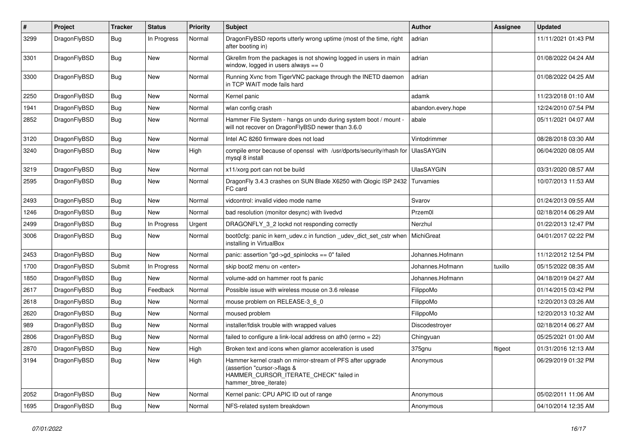| $\vert$ # | Project      | <b>Tracker</b> | <b>Status</b> | <b>Priority</b> | <b>Subject</b>                                                                                                                                              | <b>Author</b>      | Assignee | <b>Updated</b>      |
|-----------|--------------|----------------|---------------|-----------------|-------------------------------------------------------------------------------------------------------------------------------------------------------------|--------------------|----------|---------------------|
| 3299      | DragonFlyBSD | Bug            | In Progress   | Normal          | DragonFlyBSD reports utterly wrong uptime (most of the time, right<br>after booting in)                                                                     | adrian             |          | 11/11/2021 01:43 PM |
| 3301      | DragonFlyBSD | <b>Bug</b>     | <b>New</b>    | Normal          | Gkrellm from the packages is not showing logged in users in main<br>window, logged in users always $== 0$                                                   | adrian             |          | 01/08/2022 04:24 AM |
| 3300      | DragonFlyBSD | <b>Bug</b>     | <b>New</b>    | Normal          | Running Xvnc from TigerVNC package through the INETD daemon<br>in TCP WAIT mode fails hard                                                                  | adrian             |          | 01/08/2022 04:25 AM |
| 2250      | DragonFlyBSD | Bug            | <b>New</b>    | Normal          | Kernel panic                                                                                                                                                | adamk              |          | 11/23/2018 01:10 AM |
| 1941      | DragonFlyBSD | Bug            | <b>New</b>    | Normal          | wlan config crash                                                                                                                                           | abandon.every.hope |          | 12/24/2010 07:54 PM |
| 2852      | DragonFlyBSD | <b>Bug</b>     | New           | Normal          | Hammer File System - hangs on undo during system boot / mount -<br>will not recover on DragonFlyBSD newer than 3.6.0                                        | abale              |          | 05/11/2021 04:07 AM |
| 3120      | DragonFlyBSD | <b>Bug</b>     | <b>New</b>    | Normal          | Intel AC 8260 firmware does not load                                                                                                                        | Vintodrimmer       |          | 08/28/2018 03:30 AM |
| 3240      | DragonFlyBSD | <b>Bug</b>     | <b>New</b>    | High            | compile error because of openssl with /usr/dports/security/rhash for<br>mysgl 8 install                                                                     | <b>UlasSAYGIN</b>  |          | 06/04/2020 08:05 AM |
| 3219      | DragonFlyBSD | Bug            | <b>New</b>    | Normal          | x11/xorg port can not be build                                                                                                                              | <b>UlasSAYGIN</b>  |          | 03/31/2020 08:57 AM |
| 2595      | DragonFlyBSD | <b>Bug</b>     | <b>New</b>    | Normal          | DragonFly 3.4.3 crashes on SUN Blade X6250 with Qlogic ISP 2432<br>FC card                                                                                  | Turvamies          |          | 10/07/2013 11:53 AM |
| 2493      | DragonFlyBSD | <b>Bug</b>     | <b>New</b>    | Normal          | vidcontrol: invalid video mode name                                                                                                                         | Svarov             |          | 01/24/2013 09:55 AM |
| 1246      | DragonFlyBSD | <b>Bug</b>     | New           | Normal          | bad resolution (monitor desync) with livedvd                                                                                                                | Przem0l            |          | 02/18/2014 06:29 AM |
| 2499      | DragonFlyBSD | <b>Bug</b>     | In Progress   | Urgent          | DRAGONFLY_3_2 lockd not responding correctly                                                                                                                | Nerzhul            |          | 01/22/2013 12:47 PM |
| 3006      | DragonFlyBSD | Bug            | New           | Normal          | boot0cfg: panic in kern udev.c in function udev dict set cstr when<br>installing in VirtualBox                                                              | MichiGreat         |          | 04/01/2017 02:22 PM |
| 2453      | DragonFlyBSD | Bug            | <b>New</b>    | Normal          | panic: assertion "gd->gd spinlocks == $0$ " failed                                                                                                          | Johannes.Hofmann   |          | 11/12/2012 12:54 PM |
| 1700      | DragonFlyBSD | Submit         | In Progress   | Normal          | skip boot2 menu on <enter></enter>                                                                                                                          | Johannes.Hofmann   | tuxillo  | 05/15/2022 08:35 AM |
| 1850      | DragonFlyBSD | <b>Bug</b>     | New           | Normal          | volume-add on hammer root fs panic                                                                                                                          | Johannes.Hofmann   |          | 04/18/2019 04:27 AM |
| 2617      | DragonFlyBSD | <b>Bug</b>     | Feedback      | Normal          | Possible issue with wireless mouse on 3.6 release                                                                                                           | FilippoMo          |          | 01/14/2015 03:42 PM |
| 2618      | DragonFlyBSD | <b>Bug</b>     | <b>New</b>    | Normal          | mouse problem on RELEASE-3_6_0                                                                                                                              | FilippoMo          |          | 12/20/2013 03:26 AM |
| 2620      | DragonFlyBSD | <b>Bug</b>     | <b>New</b>    | Normal          | moused problem                                                                                                                                              | FilippoMo          |          | 12/20/2013 10:32 AM |
| 989       | DragonFlyBSD | Bug            | <b>New</b>    | Normal          | installer/fdisk trouble with wrapped values                                                                                                                 | Discodestrover     |          | 02/18/2014 06:27 AM |
| 2806      | DragonFlyBSD | <b>Bug</b>     | <b>New</b>    | Normal          | failed to configure a link-local address on ath0 (errno = 22)                                                                                               | Chingyuan          |          | 05/25/2021 01:00 AM |
| 2870      | DragonFlyBSD | Bug            | <b>New</b>    | High            | Broken text and icons when glamor acceleration is used                                                                                                      | 375gnu             | ftigeot  | 01/31/2016 12:13 AM |
| 3194      | DragonFlyBSD | Bug            | <b>New</b>    | High            | Hammer kernel crash on mirror-stream of PFS after upgrade<br>(assertion "cursor->flags &<br>HAMMER_CURSOR_ITERATE_CHECK" failed in<br>hammer_btree_iterate) | Anonymous          |          | 06/29/2019 01:32 PM |
| 2052      | DragonFlyBSD | Bug            | <b>New</b>    | Normal          | Kernel panic: CPU APIC ID out of range                                                                                                                      | Anonymous          |          | 05/02/2011 11:06 AM |
| 1695      | DragonFlyBSD | Bug            | <b>New</b>    | Normal          | NFS-related system breakdown                                                                                                                                | Anonymous          |          | 04/10/2014 12:35 AM |